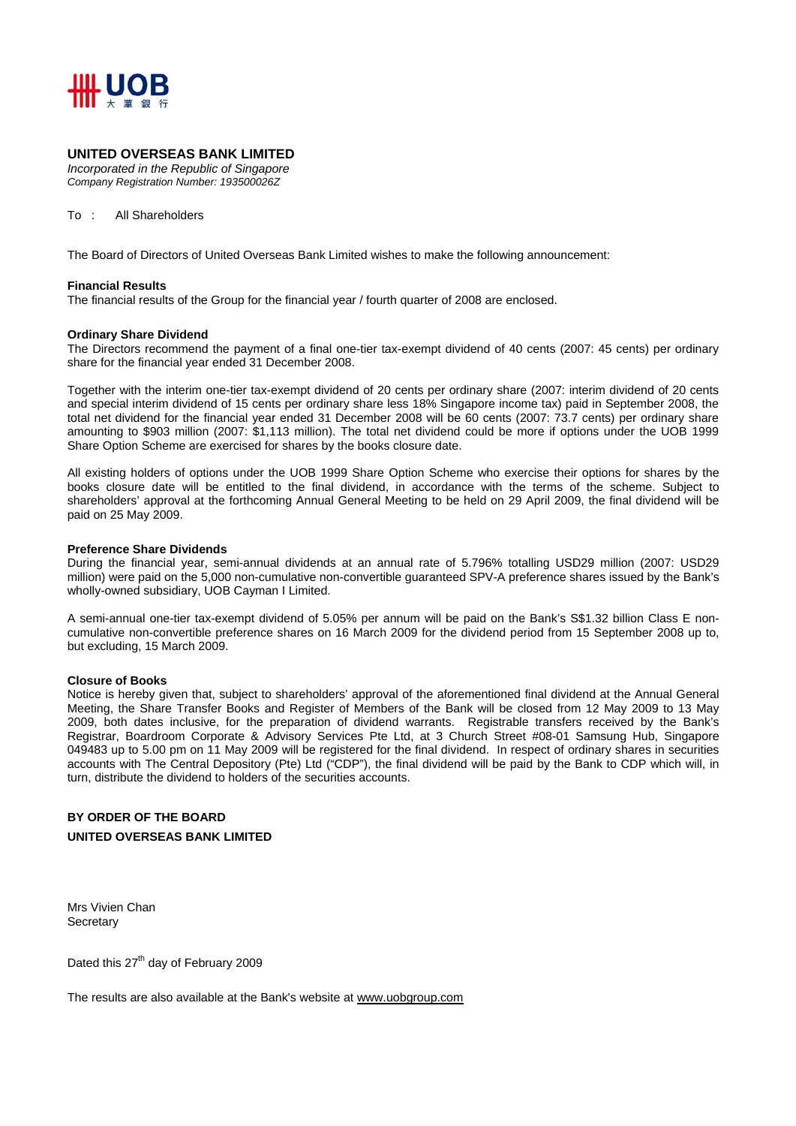

## **UNITED OVERSEAS BANK LIMITED**

*Incorporated in the Republic of Singapore Company Registration Number: 193500026Z* 

To : All Shareholders

The Board of Directors of United Overseas Bank Limited wishes to make the following announcement:

#### **Financial Results**

The financial results of the Group for the financial year / fourth quarter of 2008 are enclosed.

#### **Ordinary Share Dividend**

The Directors recommend the payment of a final one-tier tax-exempt dividend of 40 cents (2007: 45 cents) per ordinary share for the financial year ended 31 December 2008.

Together with the interim one-tier tax-exempt dividend of 20 cents per ordinary share (2007: interim dividend of 20 cents and special interim dividend of 15 cents per ordinary share less 18% Singapore income tax) paid in September 2008, the total net dividend for the financial year ended 31 December 2008 will be 60 cents (2007: 73.7 cents) per ordinary share amounting to \$903 million (2007: \$1,113 million). The total net dividend could be more if options under the UOB 1999 Share Option Scheme are exercised for shares by the books closure date.

All existing holders of options under the UOB 1999 Share Option Scheme who exercise their options for shares by the books closure date will be entitled to the final dividend, in accordance with the terms of the scheme. Subject to shareholders' approval at the forthcoming Annual General Meeting to be held on 29 April 2009, the final dividend will be paid on 25 May 2009.

#### **Preference Share Dividends**

During the financial year, semi-annual dividends at an annual rate of 5.796% totalling USD29 million (2007: USD29 million) were paid on the 5,000 non-cumulative non-convertible guaranteed SPV-A preference shares issued by the Bank's wholly-owned subsidiary, UOB Cayman I Limited.

A semi-annual one-tier tax-exempt dividend of 5.05% per annum will be paid on the Bank's S\$1.32 billion Class E noncumulative non-convertible preference shares on 16 March 2009 for the dividend period from 15 September 2008 up to, but excluding, 15 March 2009.

#### **Closure of Books**

Notice is hereby given that, subject to shareholders' approval of the aforementioned final dividend at the Annual General Meeting, the Share Transfer Books and Register of Members of the Bank will be closed from 12 May 2009 to 13 May 2009, both dates inclusive, for the preparation of dividend warrants. Registrable transfers received by the Bank's Registrar, Boardroom Corporate & Advisory Services Pte Ltd, at 3 Church Street #08-01 Samsung Hub, Singapore 049483 up to 5.00 pm on 11 May 2009 will be registered for the final dividend. In respect of ordinary shares in securities accounts with The Central Depository (Pte) Ltd ("CDP"), the final dividend will be paid by the Bank to CDP which will, in turn, distribute the dividend to holders of the securities accounts.

# **BY ORDER OF THE BOARD**

#### **UNITED OVERSEAS BANK LIMITED**

Mrs Vivien Chan **Secretary** 

Dated this 27<sup>th</sup> day of February 2009

The results are also available at the Bank's website at www.uobgroup.com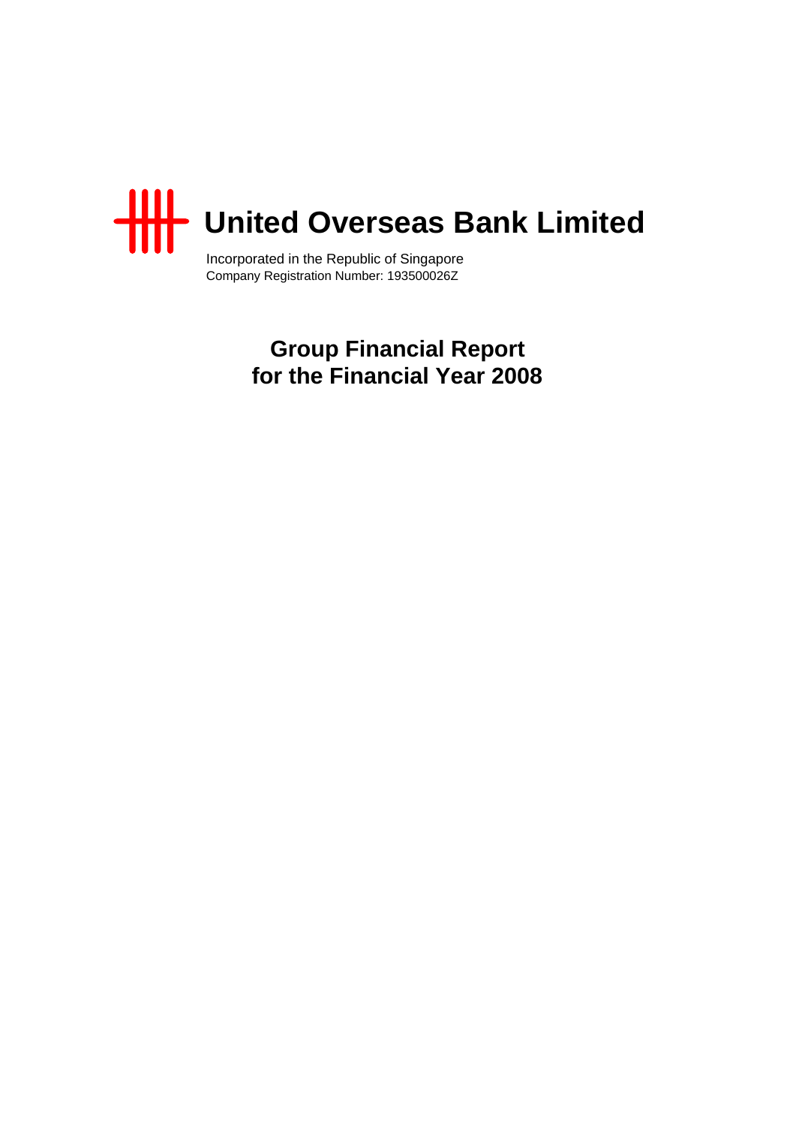

Incorporated in the Republic of Singapore Company Registration Number: 193500026Z

> **Group Financial Report for the Financial Year 2008**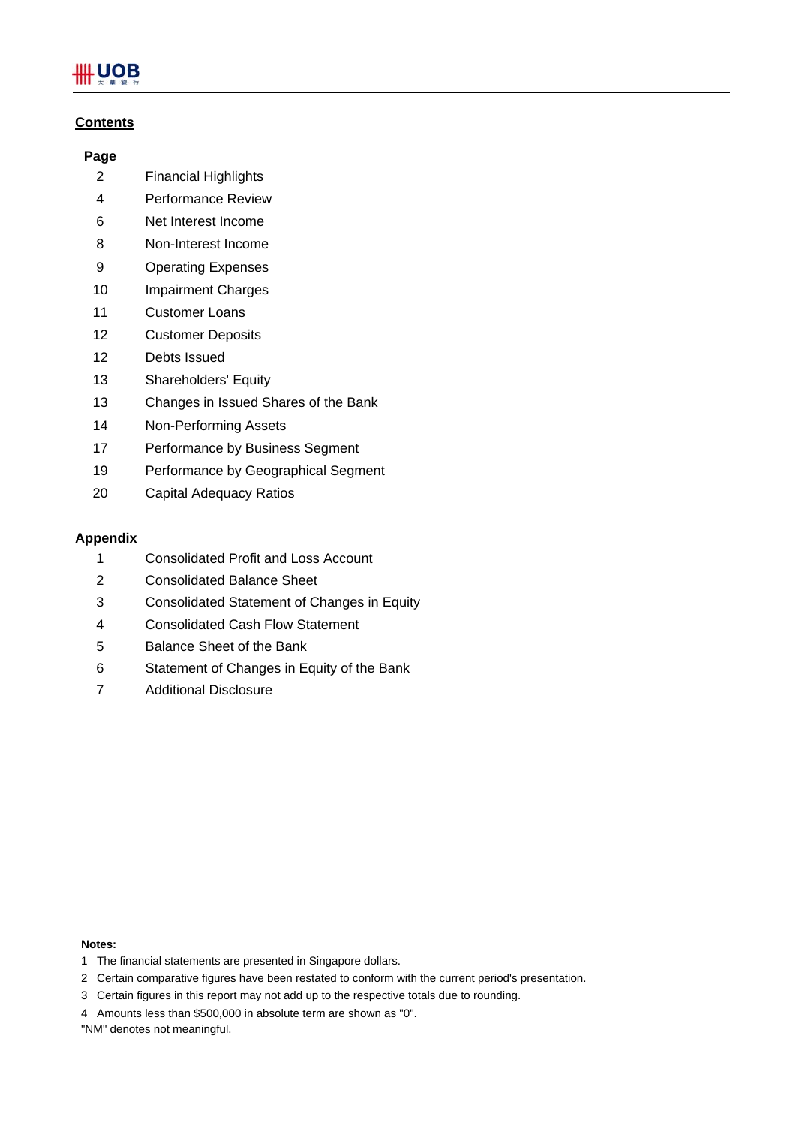# **.UOB**

# **Contents**

# **Page**

- 2 Financial Highlights
- 4 Performance Review
- 6 Net Interest Income
- 8 Non-Interest Income
- 9 Operating Expenses
- 10 Impairment Charges
- 11 Customer Loans
- 12 Customer Deposits
- 12 Debts Issued
- 13 Shareholders' Equity
- 13 Changes in Issued Shares of the Bank
- 14 Non-Performing Assets
- 17 Performance by Business Segment
- 19 Performance by Geographical Segment
- 20 Capital Adequacy Ratios

# **Appendix**

- 1 Consolidated Profit and Loss Account
- 2 Consolidated Balance Sheet
- 3 Consolidated Statement of Changes in Equity
- 4 Consolidated Cash Flow Statement
- 5 Balance Sheet of the Bank
- 6 Statement of Changes in Equity of the Bank
- 7 Additional Disclosure

#### **Notes:**

- 1 The financial statements are presented in Singapore dollars.
- 2 Certain comparative figures have been restated to conform with the current period's presentation.
- 3 Certain figures in this report may not add up to the respective totals due to rounding.
- 4 Amounts less than \$500,000 in absolute term are shown as "0".
- "NM" denotes not meaningful.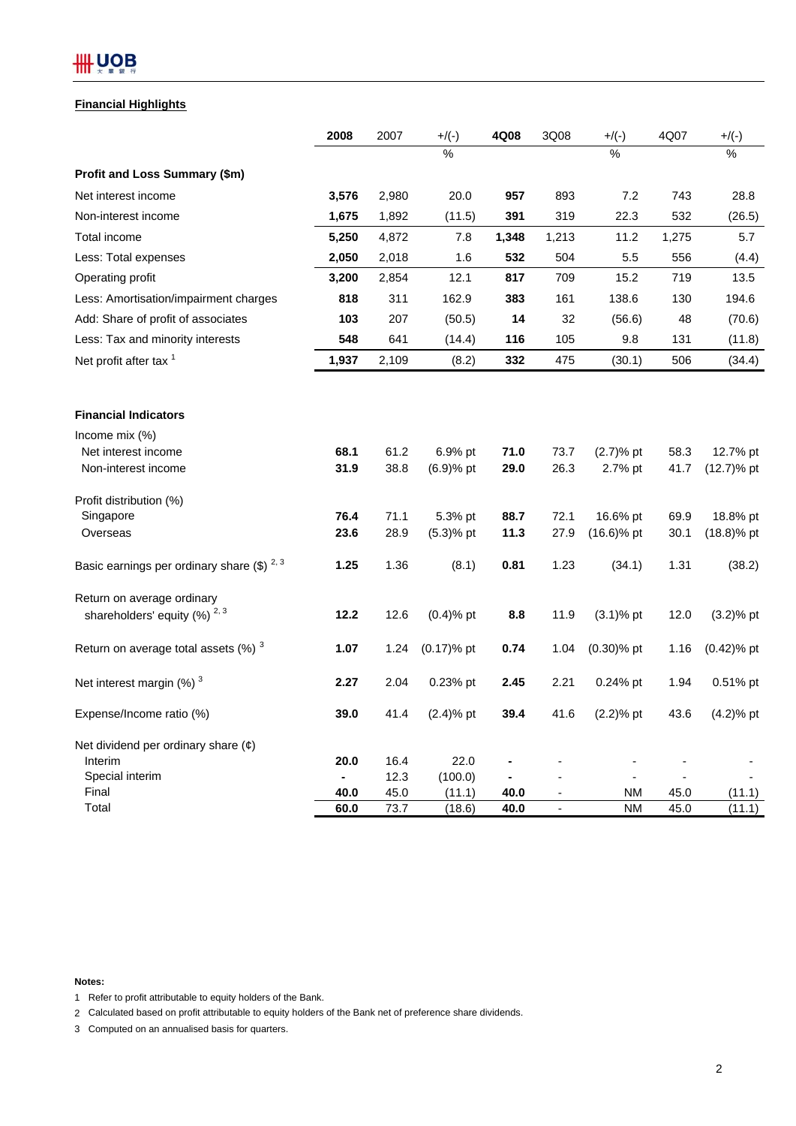# **HH UOB**

# **Financial Highlights**

|                                                    | 2008           | 2007         | $+/(-)$          | 4Q08         | 3Q08                                                 | $+/(-)$                | 4Q07         | $+/(-)$          |
|----------------------------------------------------|----------------|--------------|------------------|--------------|------------------------------------------------------|------------------------|--------------|------------------|
|                                                    |                |              | $\frac{0}{0}$    |              |                                                      | $\frac{1}{2}$          |              | $\frac{0}{0}$    |
| Profit and Loss Summary (\$m)                      |                |              |                  |              |                                                      |                        |              |                  |
| Net interest income                                | 3,576          | 2,980        | 20.0             | 957          | 893                                                  | 7.2                    | 743          | 28.8             |
| Non-interest income                                | 1,675          | 1,892        | (11.5)           | 391          | 319                                                  | 22.3                   | 532          | (26.5)           |
| Total income                                       | 5,250          | 4,872        | 7.8              | 1,348        | 1,213                                                | 11.2                   | 1,275        | 5.7              |
| Less: Total expenses                               | 2,050          | 2,018        | 1.6              | 532          | 504                                                  | 5.5                    | 556          | (4.4)            |
| Operating profit                                   | 3,200          | 2,854        | 12.1             | 817          | 709                                                  | 15.2                   | 719          | 13.5             |
| Less: Amortisation/impairment charges              | 818            | 311          | 162.9            | 383          | 161                                                  | 138.6                  | 130          | 194.6            |
| Add: Share of profit of associates                 | 103            | 207          | (50.5)           | 14           | 32                                                   | (56.6)                 | 48           | (70.6)           |
| Less: Tax and minority interests                   | 548            | 641          | (14.4)           | 116          | 105                                                  | 9.8                    | 131          | (11.8)           |
| Net profit after tax <sup>1</sup>                  | 1,937          | 2,109        | (8.2)            | 332          | 475                                                  | (30.1)                 | 506          | (34.4)           |
| <b>Financial Indicators</b>                        |                |              |                  |              |                                                      |                        |              |                  |
| Income mix $(\%)$                                  |                |              |                  |              |                                                      |                        |              |                  |
| Net interest income                                | 68.1           | 61.2         | 6.9% pt          | 71.0         | 73.7                                                 | $(2.7)$ % pt           | 58.3         | 12.7% pt         |
| Non-interest income                                | 31.9           | 38.8         | $(6.9)$ % pt     | 29.0         | 26.3                                                 | 2.7% pt                | 41.7         | $(12.7)$ % pt    |
| Profit distribution (%)                            |                |              |                  |              |                                                      |                        |              |                  |
| Singapore                                          | 76.4           | 71.1         | 5.3% pt          | 88.7         | 72.1                                                 | 16.6% pt               | 69.9         | 18.8% pt         |
| Overseas                                           | 23.6           | 28.9         | $(5.3)$ % pt     | 11.3         | 27.9                                                 | $(16.6)$ % pt          | 30.1         | $(18.8)%$ pt     |
| Basic earnings per ordinary share $(\$)$ $^{2,3}$  | 1.25           | 1.36         | (8.1)            | 0.81         | 1.23                                                 | (34.1)                 | 1.31         | (38.2)           |
| Return on average ordinary                         |                |              |                  |              |                                                      |                        |              |                  |
| shareholders' equity $(%)^{2,3}$                   | 12.2           | 12.6         | $(0.4)$ % pt     | 8.8          | 11.9                                                 | $(3.1)$ % pt           | 12.0         | $(3.2)$ % pt     |
| Return on average total assets $(\%)$ <sup>3</sup> | 1.07           | 1.24         | $(0.17)$ % pt    | 0.74         | 1.04                                                 | $(0.30)$ % pt          | 1.16         | $(0.42)$ % pt    |
| Net interest margin $(%)$ <sup>3</sup>             | 2.27           | 2.04         | 0.23% pt         | 2.45         | 2.21                                                 | 0.24% pt               | 1.94         | 0.51% pt         |
| Expense/Income ratio (%)                           | 39.0           | 41.4         | $(2.4)$ % pt     | 39.4         | 41.6                                                 | $(2.2)$ % pt           | 43.6         | $(4.2)%$ pt      |
| Net dividend per ordinary share $(\phi)$           |                |              |                  |              |                                                      |                        |              |                  |
| Interim                                            | 20.0           | 16.4         | 22.0             |              |                                                      |                        |              |                  |
| Special interim                                    | $\blacksquare$ | 12.3         | (100.0)          |              |                                                      |                        |              |                  |
| Final<br>Total                                     | 40.0<br>60.0   | 45.0<br>73.7 | (11.1)<br>(18.6) | 40.0<br>40.0 | $\overline{\phantom{a}}$<br>$\overline{\phantom{a}}$ | <b>NM</b><br><b>NM</b> | 45.0<br>45.0 | (11.1)<br>(11.1) |

**Notes:**

1 Refer to profit attributable to equity holders of the Bank.

2 Calculated based on profit attributable to equity holders of the Bank net of preference share dividends.

3 Computed on an annualised basis for quarters.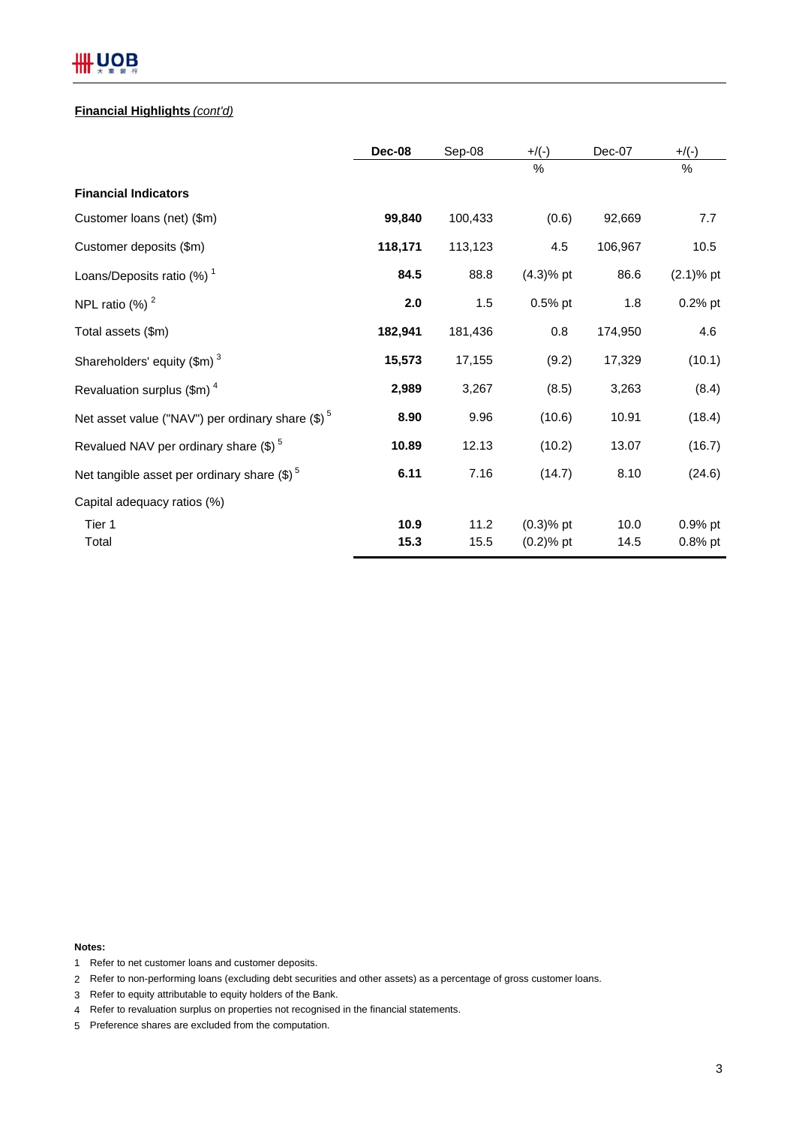# **III UOB**

# **Financial Highlights** *(cont'd)*

|                                                        | Dec-08       | Sep-08       | $+/(-)$                      | Dec-07       | $+/(-)$                 |
|--------------------------------------------------------|--------------|--------------|------------------------------|--------------|-------------------------|
|                                                        |              |              | %                            |              | %                       |
| <b>Financial Indicators</b>                            |              |              |                              |              |                         |
| Customer loans (net) (\$m)                             | 99,840       | 100,433      | (0.6)                        | 92,669       | 7.7                     |
| Customer deposits (\$m)                                | 118,171      | 113,123      | 4.5                          | 106,967      | 10.5                    |
| Loans/Deposits ratio $(%)$ <sup>1</sup>                | 84.5         | 88.8         | $(4.3)%$ pt                  | 86.6         | $(2.1)$ % pt            |
| NPL ratio $(%)2$                                       | 2.0          | 1.5          | $0.5%$ pt                    | 1.8          | $0.2%$ pt               |
| Total assets (\$m)                                     | 182,941      | 181,436      | 0.8                          | 174,950      | 4.6                     |
| Shareholders' equity $(\text{Im})^3$                   | 15,573       | 17,155       | (9.2)                        | 17,329       | (10.1)                  |
| Revaluation surplus $(\text{Im})^4$                    | 2,989        | 3,267        | (8.5)                        | 3,263        | (8.4)                   |
| Net asset value ("NAV") per ordinary share $(\$)^5$    | 8.90         | 9.96         | (10.6)                       | 10.91        | (18.4)                  |
| Revalued NAV per ordinary share $(\text{\$})^5$        | 10.89        | 12.13        | (10.2)                       | 13.07        | (16.7)                  |
| Net tangible asset per ordinary share $(\text{$\$})^5$ | 6.11         | 7.16         | (14.7)                       | 8.10         | (24.6)                  |
| Capital adequacy ratios (%)                            |              |              |                              |              |                         |
| Tier 1<br>Total                                        | 10.9<br>15.3 | 11.2<br>15.5 | $(0.3)$ % pt<br>$(0.2)$ % pt | 10.0<br>14.5 | $0.9%$ pt<br>$0.8\%$ pt |

**Notes:**

- 1 Refer to net customer loans and customer deposits.
- 2 Refer to non-performing loans (excluding debt securities and other assets) as a percentage of gross customer loans.
- 3 Refer to equity attributable to equity holders of the Bank.
- 4 Refer to revaluation surplus on properties not recognised in the financial statements.
- 5 Preference shares are excluded from the computation.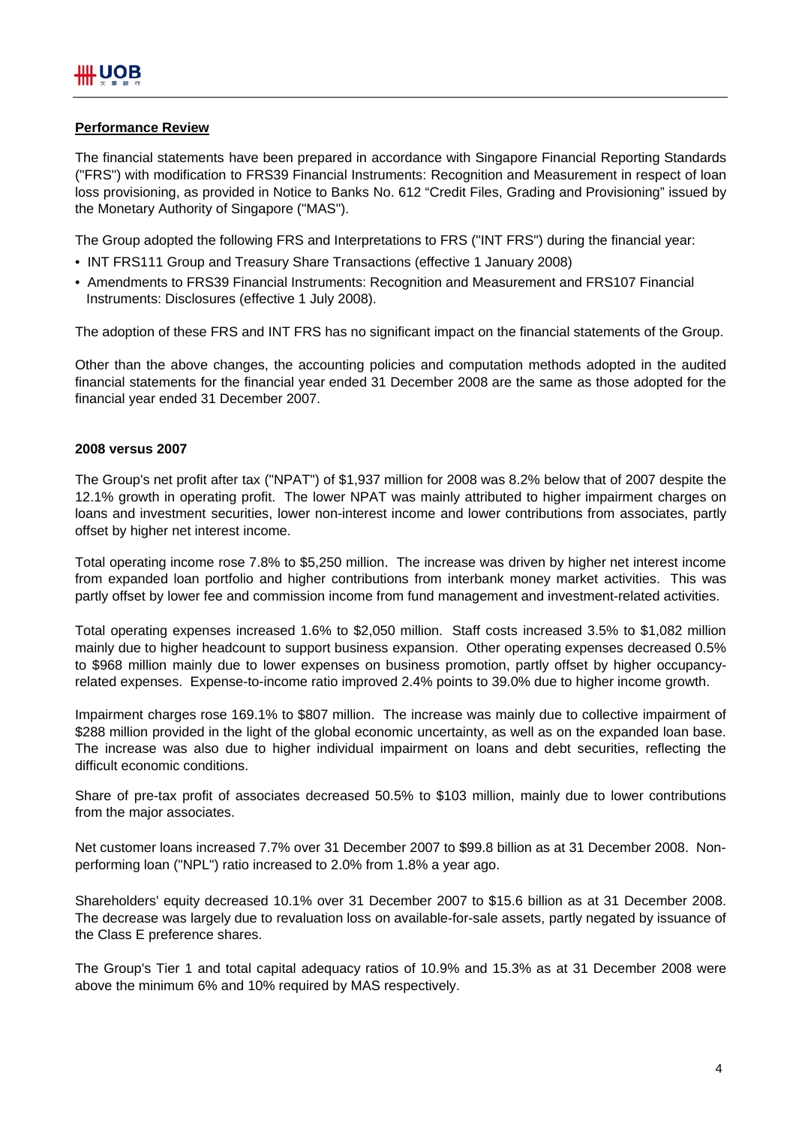# **Performance Review**

The financial statements have been prepared in accordance with Singapore Financial Reporting Standards ("FRS") with modification to FRS39 Financial Instruments: Recognition and Measurement in respect of loan loss provisioning, as provided in Notice to Banks No. 612 "Credit Files, Grading and Provisioning" issued by the Monetary Authority of Singapore ("MAS").

The Group adopted the following FRS and Interpretations to FRS ("INT FRS") during the financial year:

- INT FRS111 Group and Treasury Share Transactions (effective 1 January 2008)
- Amendments to FRS39 Financial Instruments: Recognition and Measurement and FRS107 Financial Instruments: Disclosures (effective 1 July 2008).

The adoption of these FRS and INT FRS has no significant impact on the financial statements of the Group.

Other than the above changes, the accounting policies and computation methods adopted in the audited financial statements for the financial year ended 31 December 2008 are the same as those adopted for the financial year ended 31 December 2007.

# **2008 versus 2007**

The Group's net profit after tax ("NPAT") of \$1,937 million for 2008 was 8.2% below that of 2007 despite the 12.1% growth in operating profit. The lower NPAT was mainly attributed to higher impairment charges on loans and investment securities, lower non-interest income and lower contributions from associates, partly offset by higher net interest income.

Total operating income rose 7.8% to \$5,250 million. The increase was driven by higher net interest income from expanded loan portfolio and higher contributions from interbank money market activities. This was partly offset by lower fee and commission income from fund management and investment-related activities.

Total operating expenses increased 1.6% to \$2,050 million. Staff costs increased 3.5% to \$1,082 million mainly due to higher headcount to support business expansion. Other operating expenses decreased 0.5% to \$968 million mainly due to lower expenses on business promotion, partly offset by higher occupancyrelated expenses. Expense-to-income ratio improved 2.4% points to 39.0% due to higher income growth.

Impairment charges rose 169.1% to \$807 million. The increase was mainly due to collective impairment of \$288 million provided in the light of the global economic uncertainty, as well as on the expanded loan base. The increase was also due to higher individual impairment on loans and debt securities, reflecting the difficult economic conditions.

Share of pre-tax profit of associates decreased 50.5% to \$103 million, mainly due to lower contributions from the major associates.

Net customer loans increased 7.7% over 31 December 2007 to \$99.8 billion as at 31 December 2008. Nonperforming loan ("NPL") ratio increased to 2.0% from 1.8% a year ago.

Shareholders' equity decreased 10.1% over 31 December 2007 to \$15.6 billion as at 31 December 2008. The decrease was largely due to revaluation loss on available-for-sale assets, partly negated by issuance of the Class E preference shares.

The Group's Tier 1 and total capital adequacy ratios of 10.9% and 15.3% as at 31 December 2008 were above the minimum 6% and 10% required by MAS respectively.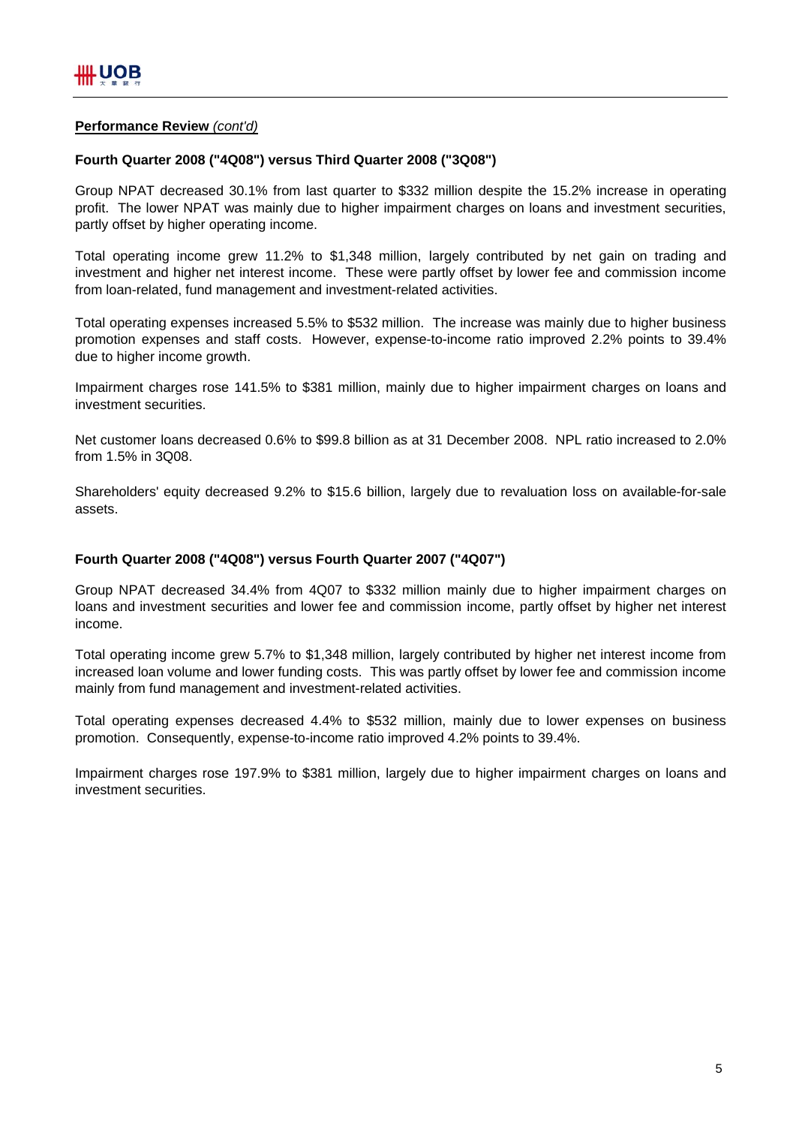# **Performance Review** *(cont'd)*

# **Fourth Quarter 2008 ("4Q08") versus Third Quarter 2008 ("3Q08")**

Group NPAT decreased 30.1% from last quarter to \$332 million despite the 15.2% increase in operating profit. The lower NPAT was mainly due to higher impairment charges on loans and investment securities, partly offset by higher operating income.

Total operating income grew 11.2% to \$1,348 million, largely contributed by net gain on trading and investment and higher net interest income. These were partly offset by lower fee and commission income from loan-related, fund management and investment-related activities.

Total operating expenses increased 5.5% to \$532 million. The increase was mainly due to higher business promotion expenses and staff costs. However, expense-to-income ratio improved 2.2% points to 39.4% due to higher income growth.

Impairment charges rose 141.5% to \$381 million, mainly due to higher impairment charges on loans and investment securities.

Net customer loans decreased 0.6% to \$99.8 billion as at 31 December 2008. NPL ratio increased to 2.0% from 1.5% in 3Q08.

Shareholders' equity decreased 9.2% to \$15.6 billion, largely due to revaluation loss on available-for-sale assets.

## **Fourth Quarter 2008 ("4Q08") versus Fourth Quarter 2007 ("4Q07")**

Group NPAT decreased 34.4% from 4Q07 to \$332 million mainly due to higher impairment charges on loans and investment securities and lower fee and commission income, partly offset by higher net interest income.

Total operating income grew 5.7% to \$1,348 million, largely contributed by higher net interest income from increased loan volume and lower funding costs. This was partly offset by lower fee and commission income mainly from fund management and investment-related activities.

Total operating expenses decreased 4.4% to \$532 million, mainly due to lower expenses on business promotion. Consequently, expense-to-income ratio improved 4.2% points to 39.4%.

Impairment charges rose 197.9% to \$381 million, largely due to higher impairment charges on loans and investment securities.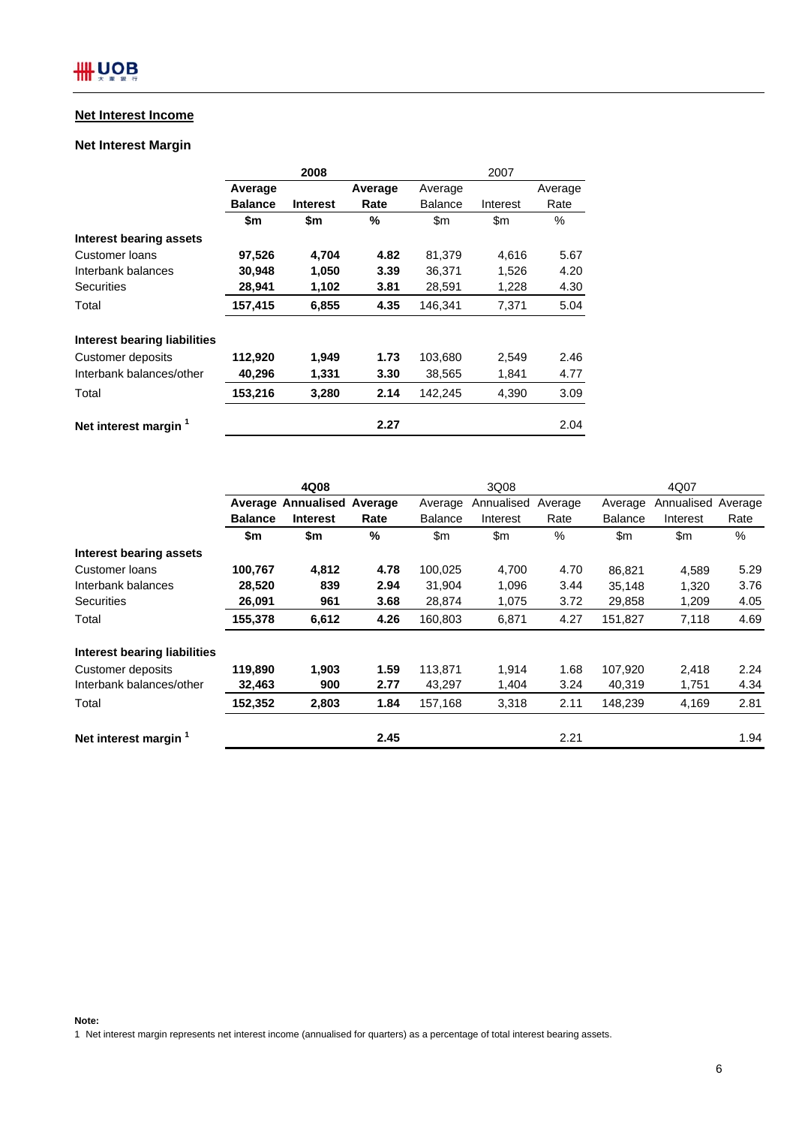# **Net Interest Income**

# **Net Interest Margin**

|                                  |                | 2008            |         | 2007          |               |         |
|----------------------------------|----------------|-----------------|---------|---------------|---------------|---------|
|                                  | Average        |                 | Average | Average       |               | Average |
|                                  | <b>Balance</b> | <b>Interest</b> | Rate    | Balance       | Interest      | Rate    |
|                                  | \$m            | \$m             | %       | $\mathsf{Sm}$ | $\mathsf{Sm}$ | $\%$    |
| Interest bearing assets          |                |                 |         |               |               |         |
| Customer Ioans                   | 97,526         | 4,704           | 4.82    | 81,379        | 4,616         | 5.67    |
| Interbank balances               | 30,948         | 1,050           | 3.39    | 36,371        | 1,526         | 4.20    |
| <b>Securities</b>                | 28,941         | 1,102           | 3.81    | 28,591        | 1,228         | 4.30    |
| Total                            | 157,415        | 6,855           | 4.35    | 146.341       | 7,371         | 5.04    |
| Interest bearing liabilities     |                |                 |         |               |               |         |
| Customer deposits                | 112,920        | 1,949           | 1.73    | 103,680       | 2,549         | 2.46    |
| Interbank balances/other         | 40,296         | 1,331           | 3.30    | 38,565        | 1,841         | 4.77    |
| Total                            | 153,216        | 3,280           | 2.14    | 142,245       | 4,390         | 3.09    |
| Net interest margin <sup>1</sup> |                |                 | 2.27    |               |               | 2.04    |

|                              | 4Q08           |                                   |      | 3Q08           |            |         | 4Q07           |               |         |
|------------------------------|----------------|-----------------------------------|------|----------------|------------|---------|----------------|---------------|---------|
|                              |                | <b>Average Annualised Average</b> |      | Average        | Annualised | Average | Average        | Annualised    | Average |
|                              | <b>Balance</b> | <b>Interest</b>                   | Rate | <b>Balance</b> | Interest   | Rate    | <b>Balance</b> | Interest      | Rate    |
|                              | \$m            | \$m                               | %    | $\mathsf{Sm}$  | \$m        | $\%$    | $\mathsf{Sm}$  | $\mathsf{Sm}$ | %       |
| Interest bearing assets      |                |                                   |      |                |            |         |                |               |         |
| Customer loans               | 100,767        | 4,812                             | 4.78 | 100,025        | 4,700      | 4.70    | 86,821         | 4,589         | 5.29    |
| Interbank balances           | 28,520         | 839                               | 2.94 | 31,904         | 1,096      | 3.44    | 35,148         | 1,320         | 3.76    |
| Securities                   | 26,091         | 961                               | 3.68 | 28,874         | 1,075      | 3.72    | 29,858         | 1,209         | 4.05    |
| Total                        | 155,378        | 6,612                             | 4.26 | 160,803        | 6,871      | 4.27    | 151,827        | 7,118         | 4.69    |
| Interest bearing liabilities |                |                                   |      |                |            |         |                |               |         |
| Customer deposits            | 119.890        | 1,903                             | 1.59 | 113.871        | 1,914      | 1.68    | 107,920        | 2,418         | 2.24    |
| Interbank balances/other     | 32,463         | 900                               | 2.77 | 43,297         | 1,404      | 3.24    | 40,319         | 1,751         | 4.34    |
| Total                        | 152,352        | 2,803                             | 1.84 | 157,168        | 3,318      | 2.11    | 148,239        | 4,169         | 2.81    |
| Net interest margin 1        |                |                                   | 2.45 |                |            | 2.21    |                |               | 1.94    |

**Note:**

1 Net interest margin represents net interest income (annualised for quarters) as a percentage of total interest bearing assets.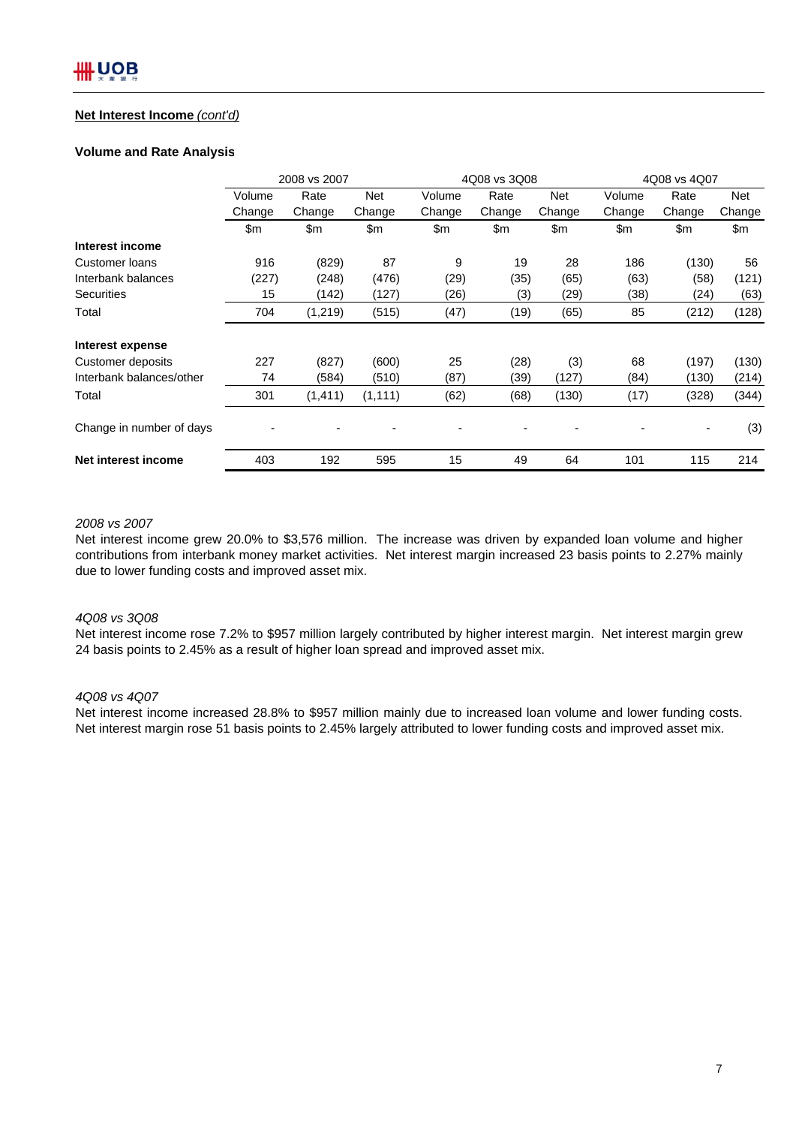# **Net Interest Income** *(cont'd)*

## **Volume and Rate Analysis**

|                          | 2008 vs 2007 |               |          |               | 4Q08 vs 3Q08 |        |        | 4Q08 vs 4Q07   |        |  |
|--------------------------|--------------|---------------|----------|---------------|--------------|--------|--------|----------------|--------|--|
|                          | Volume       | Rate          | Net      | Volume        | Rate         | Net    | Volume | Rate           | Net    |  |
|                          | Change       | Change        | Change   | Change        | Change       | Change | Change | Change         | Change |  |
|                          | \$m          | $\mathsf{Sm}$ | \$m      | $\mathsf{Sm}$ | \$m          | \$m    | \$m    | $\mathsf{S}$ m | \$m    |  |
| Interest income          |              |               |          |               |              |        |        |                |        |  |
| Customer Ioans           | 916          | (829)         | 87       | 9             | 19           | 28     | 186    | (130)          | 56     |  |
| Interbank balances       | (227)        | (248)         | (476)    | (29)          | (35)         | (65)   | (63)   | (58)           | (121)  |  |
| <b>Securities</b>        | 15           | (142)         | (127)    | (26)          | (3)          | (29)   | (38)   | (24)           | (63)   |  |
| Total                    | 704          | (1, 219)      | (515)    | (47)          | (19)         | (65)   | 85     | (212)          | (128)  |  |
| Interest expense         |              |               |          |               |              |        |        |                |        |  |
| Customer deposits        | 227          | (827)         | (600)    | 25            | (28)         | (3)    | 68     | (197)          | (130)  |  |
| Interbank balances/other | 74           | (584)         | (510)    | (87)          | (39)         | (127)  | (84)   | (130)          | (214)  |  |
| Total                    | 301          | (1, 411)      | (1, 111) | (62)          | (68)         | (130)  | (17)   | (328)          | (344)  |  |
| Change in number of days |              |               |          |               |              | ٠      |        |                | (3)    |  |
| Net interest income      | 403          | 192           | 595      | 15            | 49           | 64     | 101    | 115            | 214    |  |

# *2008 vs 2007*

Net interest income grew 20.0% to \$3,576 million. The increase was driven by expanded loan volume and higher contributions from interbank money market activities. Net interest margin increased 23 basis points to 2.27% mainly due to lower funding costs and improved asset mix.

#### *4Q08 vs 3Q08*

Net interest income rose 7.2% to \$957 million largely contributed by higher interest margin. Net interest margin grew 24 basis points to 2.45% as a result of higher loan spread and improved asset mix.

# *4Q08 vs 4Q07*

Net interest income increased 28.8% to \$957 million mainly due to increased loan volume and lower funding costs. Net interest margin rose 51 basis points to 2.45% largely attributed to lower funding costs and improved asset mix.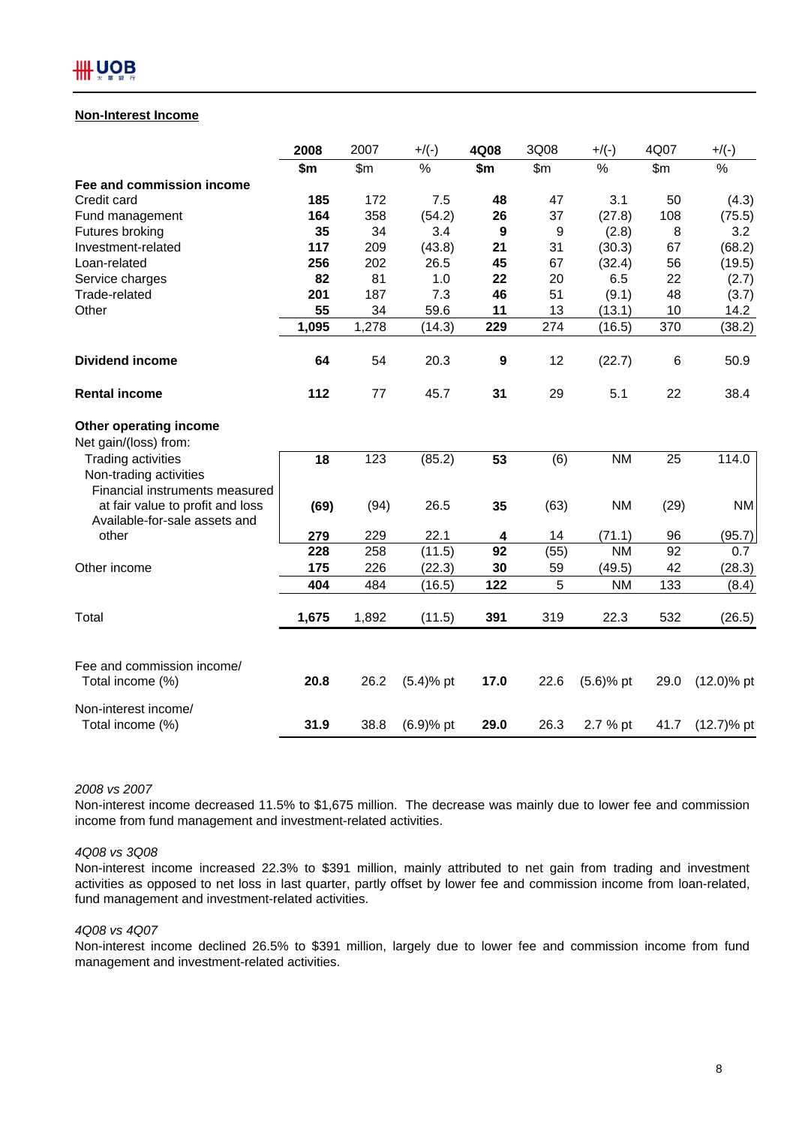

#### **Non-Interest Income**

|                                                | 2008  | 2007  | $+/(-)$     | 4Q08             | 3Q08  | $+/(-)$      | 4Q07  | $+/(-)$       |
|------------------------------------------------|-------|-------|-------------|------------------|-------|--------------|-------|---------------|
|                                                | \$m   | \$m\$ | %           | \$m              | \$m\$ | $\%$         | \$m\$ | %             |
| Fee and commission income                      |       |       |             |                  |       |              |       |               |
| Credit card                                    | 185   | 172   | 7.5         | 48               | 47    | 3.1          | 50    | (4.3)         |
| Fund management                                | 164   | 358   | (54.2)      | 26               | 37    | (27.8)       | 108   | (75.5)        |
| Futures broking                                | 35    | 34    | 3.4         | 9                | 9     | (2.8)        | 8     | 3.2           |
| Investment-related                             | 117   | 209   | (43.8)      | 21               | 31    | (30.3)       | 67    | (68.2)        |
| Loan-related                                   | 256   | 202   | 26.5        | 45               | 67    | (32.4)       | 56    | (19.5)        |
| Service charges                                | 82    | 81    | 1.0         | 22               | 20    | 6.5          | 22    | (2.7)         |
| Trade-related                                  | 201   | 187   | 7.3         | 46               | 51    | (9.1)        | 48    | (3.7)         |
| Other                                          | 55    | 34    | 59.6        | 11               | 13    | (13.1)       | 10    | 14.2          |
|                                                | 1,095 | 1,278 | (14.3)      | 229              | 274   | (16.5)       | 370   | (38.2)        |
| <b>Dividend income</b>                         | 64    | 54    | 20.3        | $\boldsymbol{9}$ | 12    | (22.7)       | 6     | 50.9          |
| <b>Rental income</b>                           | 112   | 77    | 45.7        | 31               | 29    | 5.1          | 22    | 38.4          |
| Other operating income                         |       |       |             |                  |       |              |       |               |
| Net gain/(loss) from:                          |       |       |             |                  |       |              |       |               |
| Trading activities                             | 18    | 123   | (85.2)      | 53               | (6)   | <b>NM</b>    | 25    | 114.0         |
| Non-trading activities                         |       |       |             |                  |       |              |       |               |
| Financial instruments measured                 |       |       |             |                  |       |              |       |               |
| at fair value to profit and loss               | (69)  | (94)  | 26.5        | 35               | (63)  | <b>NM</b>    | (29)  | <b>NM</b>     |
| Available-for-sale assets and                  |       |       |             |                  |       |              |       |               |
| other                                          | 279   | 229   | 22.1        | 4                | 14    | (71.1)       | 96    | (95.7)        |
|                                                | 228   | 258   | (11.5)      | 92               | (55)  | <b>NM</b>    | 92    | 0.7           |
| Other income                                   | 175   | 226   | (22.3)      | 30               | 59    | (49.5)       | 42    | (28.3)        |
|                                                | 404   | 484   | (16.5)      | 122              | 5     | <b>NM</b>    | 133   | (8.4)         |
| Total                                          | 1,675 | 1,892 | (11.5)      | 391              | 319   | 22.3         | 532   | (26.5)        |
|                                                |       |       |             |                  |       |              |       |               |
| Fee and commission income/<br>Total income (%) | 20.8  | 26.2  | $(5.4)%$ pt | 17.0             | 22.6  | $(5.6)$ % pt | 29.0  | $(12.0)$ % pt |
| Non-interest income/                           |       |       |             |                  |       |              |       |               |
| Total income (%)                               | 31.9  | 38.8  | $(6.9)%$ pt | 29.0             | 26.3  | 2.7 % pt     | 41.7  | $(12.7)$ % pt |

#### *2008 vs 2007*

Non-interest income decreased 11.5% to \$1,675 million. The decrease was mainly due to lower fee and commission income from fund management and investment-related activities.

#### *4Q08 vs 3Q08*

Non-interest income increased 22.3% to \$391 million, mainly attributed to net gain from trading and investment activities as opposed to net loss in last quarter, partly offset by lower fee and commission income from loan-related, fund management and investment-related activities.

#### *4Q08 vs 4Q07*

Non-interest income declined 26.5% to \$391 million, largely due to lower fee and commission income from fund management and investment-related activities.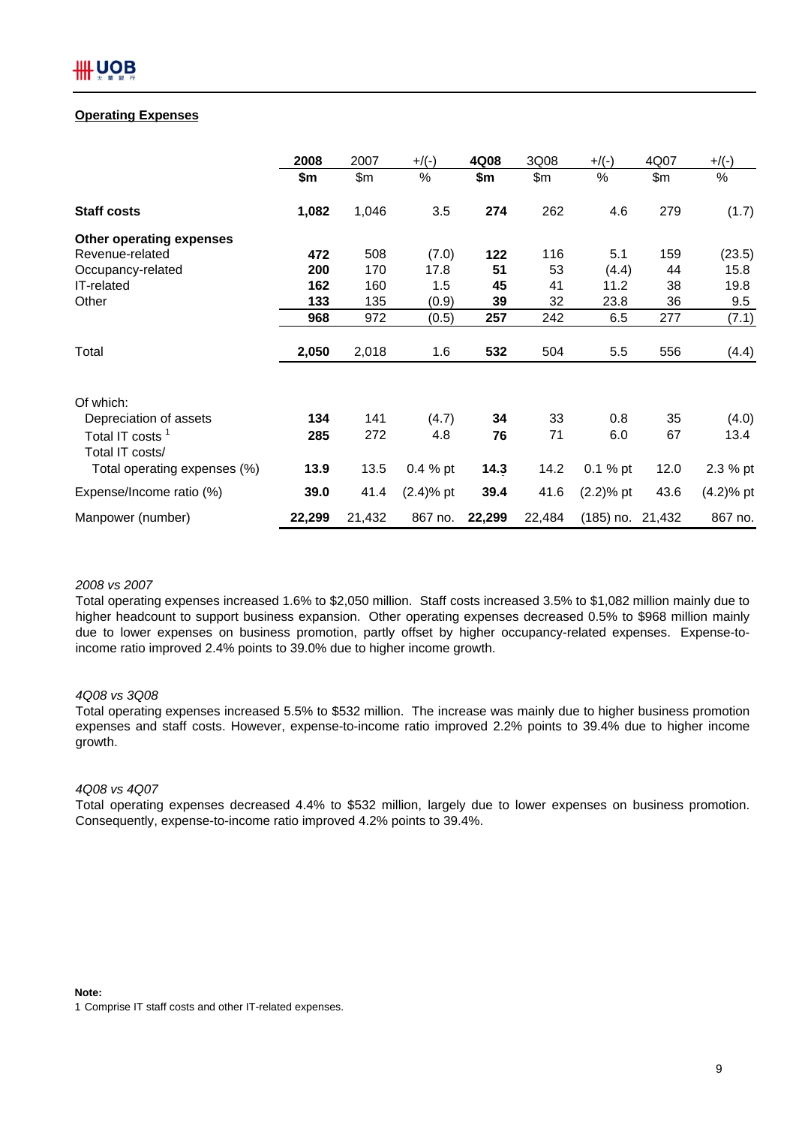# **Operating Expenses**

|                                                | 2008   | 2007   | $+$ /(-)     | 4Q08   | 3Q08   | $+$ /(-)         | 4Q07 | $+$ /(-)     |
|------------------------------------------------|--------|--------|--------------|--------|--------|------------------|------|--------------|
|                                                | \$m    | \$m    | %            | \$m    | \$m    | $\%$             | \$m  | %            |
| <b>Staff costs</b>                             | 1,082  | 1,046  | 3.5          | 274    | 262    | 4.6              | 279  | (1.7)        |
| Other operating expenses                       |        |        |              |        |        |                  |      |              |
| Revenue-related                                | 472    | 508    | (7.0)        | 122    | 116    | 5.1              | 159  | (23.5)       |
| Occupancy-related                              | 200    | 170    | 17.8         | 51     | 53     | (4.4)            | 44   | 15.8         |
| IT-related                                     | 162    | 160    | 1.5          | 45     | 41     | 11.2             | 38   | 19.8         |
| Other                                          | 133    | 135    | (0.9)        | 39     | 32     | 23.8             | 36   | 9.5          |
|                                                | 968    | 972    | (0.5)        | 257    | 242    | 6.5              | 277  | (7.1)        |
| Total                                          | 2,050  | 2,018  | 1.6          | 532    | 504    | 5.5              | 556  | (4.4)        |
| Of which:                                      |        |        |              |        |        |                  |      |              |
| Depreciation of assets                         | 134    | 141    | (4.7)        | 34     | 33     | 0.8              | 35   | (4.0)        |
| Total IT costs <sup>1</sup><br>Total IT costs/ | 285    | 272    | 4.8          | 76     | 71     | 6.0              | 67   | 13.4         |
| Total operating expenses (%)                   | 13.9   | 13.5   | 0.4 % pt     | 14.3   | 14.2   | $0.1 \%$ pt      | 12.0 | 2.3 % pt     |
| Expense/Income ratio (%)                       | 39.0   | 41.4   | $(2.4)$ % pt | 39.4   | 41.6   | $(2.2)$ % pt     | 43.6 | $(4.2)$ % pt |
| Manpower (number)                              | 22,299 | 21,432 | 867 no.      | 22,299 | 22,484 | (185) no. 21,432 |      | 867 no.      |

#### *2008 vs 2007*

Total operating expenses increased 1.6% to \$2,050 million. Staff costs increased 3.5% to \$1,082 million mainly due to higher headcount to support business expansion. Other operating expenses decreased 0.5% to \$968 million mainly due to lower expenses on business promotion, partly offset by higher occupancy-related expenses. Expense-toincome ratio improved 2.4% points to 39.0% due to higher income growth.

#### *4Q08 vs 3Q08*

Total operating expenses increased 5.5% to \$532 million. The increase was mainly due to higher business promotion expenses and staff costs. However, expense-to-income ratio improved 2.2% points to 39.4% due to higher income growth.

## *4Q08 vs 4Q07*

Total operating expenses decreased 4.4% to \$532 million, largely due to lower expenses on business promotion. Consequently, expense-to-income ratio improved 4.2% points to 39.4%.

#### **Note:**

<sup>1</sup> Comprise IT staff costs and other IT-related expenses.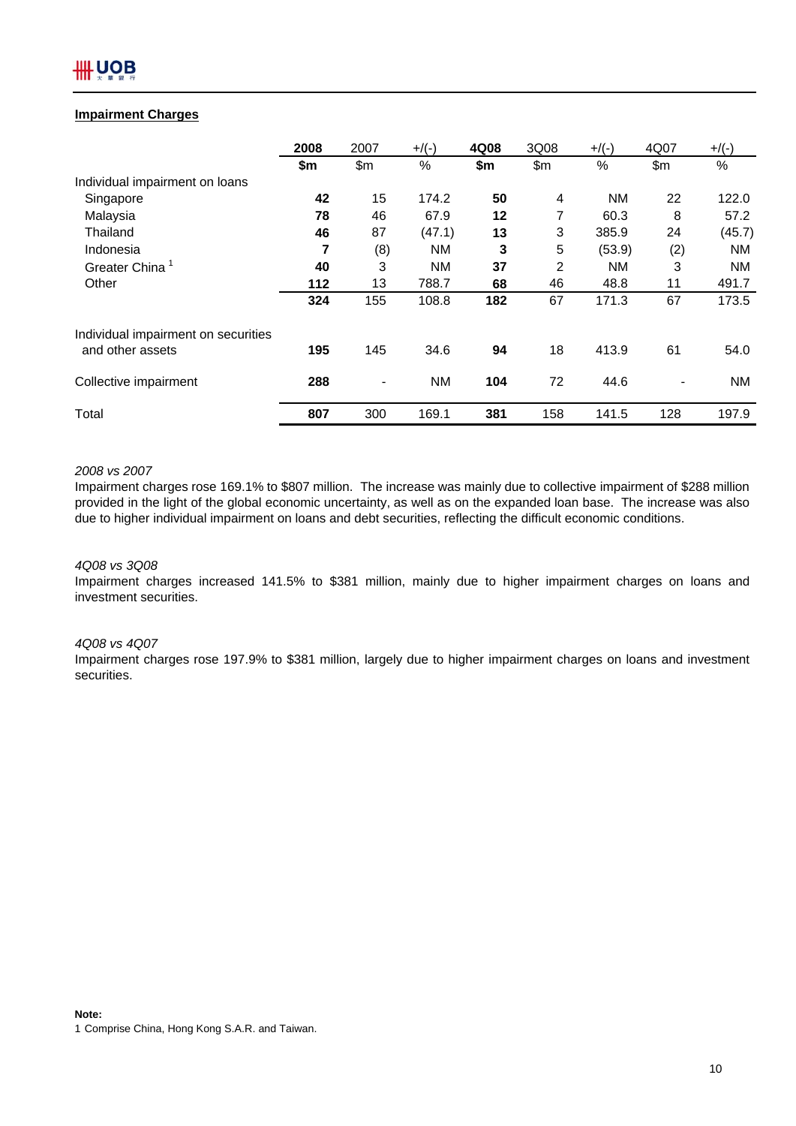# **Impairment Charges**

|                                     | 2008 | 2007 | $+$ /(-)  | 4Q08 | 3Q08  | $+$ /(-)  | 4Q07  | $+$ /(-)  |
|-------------------------------------|------|------|-----------|------|-------|-----------|-------|-----------|
|                                     | \$m  | \$m  | %         | \$m  | \$m\$ | $\%$      | \$m\$ | $\%$      |
| Individual impairment on loans      |      |      |           |      |       |           |       |           |
| Singapore                           | 42   | 15   | 174.2     | 50   | 4     | <b>NM</b> | 22    | 122.0     |
| Malaysia                            | 78   | 46   | 67.9      | 12   | 7     | 60.3      | 8     | 57.2      |
| Thailand                            | 46   | 87   | (47.1)    | 13   | 3     | 385.9     | 24    | (45.7)    |
| Indonesia                           | 7    | (8)  | <b>NM</b> | 3    | 5     | (53.9)    | (2)   | <b>NM</b> |
| Greater China                       | 40   | 3    | <b>NM</b> | 37   | 2     | <b>NM</b> | 3     | <b>NM</b> |
| Other                               | 112  | 13   | 788.7     | 68   | 46    | 48.8      | 11    | 491.7     |
|                                     | 324  | 155  | 108.8     | 182  | 67    | 171.3     | 67    | 173.5     |
| Individual impairment on securities |      |      |           |      |       |           |       |           |
| and other assets                    | 195  | 145  | 34.6      | 94   | 18    | 413.9     | 61    | 54.0      |
| Collective impairment               | 288  |      | <b>NM</b> | 104  | 72    | 44.6      |       | <b>NM</b> |
| Total                               | 807  | 300  | 169.1     | 381  | 158   | 141.5     | 128   | 197.9     |

# *2008 vs 2007*

Impairment charges rose 169.1% to \$807 million. The increase was mainly due to collective impairment of \$288 million provided in the light of the global economic uncertainty, as well as on the expanded loan base. The increase was also due to higher individual impairment on loans and debt securities, reflecting the difficult economic conditions.

# *4Q08 vs 3Q08*

Impairment charges increased 141.5% to \$381 million, mainly due to higher impairment charges on loans and investment securities.

#### *4Q08 vs 4Q07*

Impairment charges rose 197.9% to \$381 million, largely due to higher impairment charges on loans and investment securities.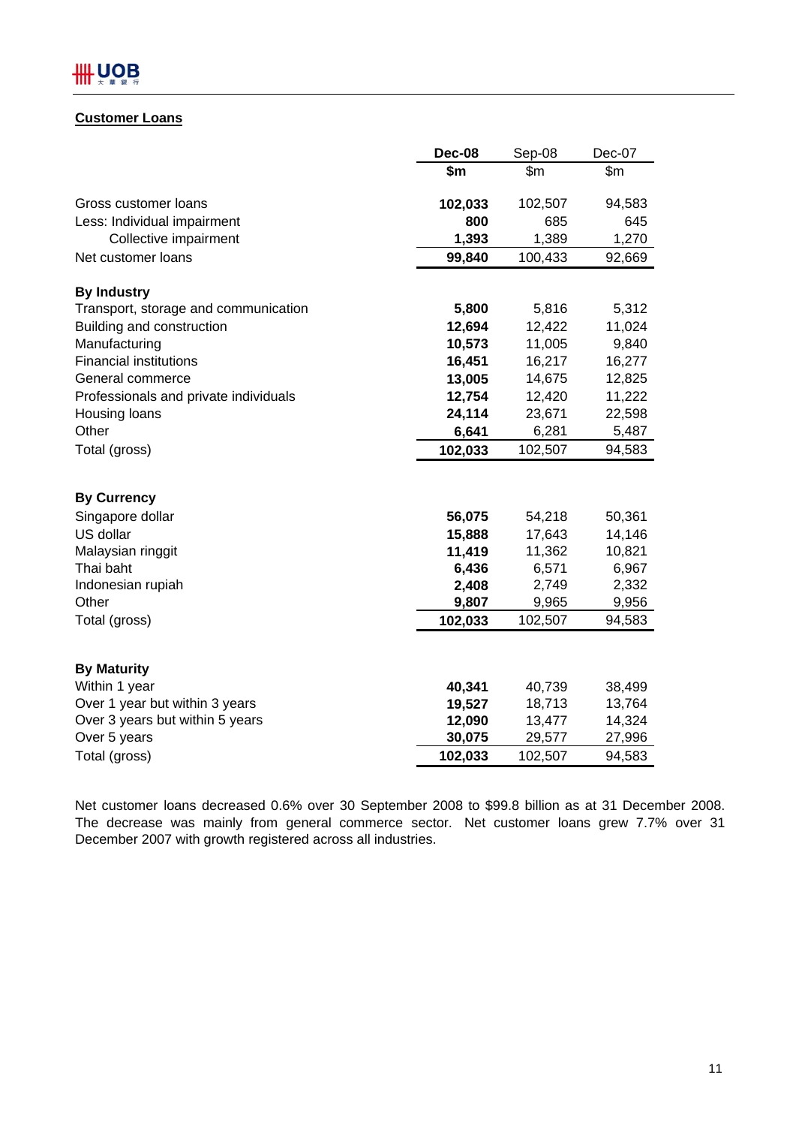# **Customer Loans**

|                                       | <b>Dec-08</b> | Sep-08  | Dec-07 |
|---------------------------------------|---------------|---------|--------|
|                                       | \$m           | \$m     | \$m\$  |
|                                       |               |         |        |
| Gross customer loans                  | 102,033       | 102,507 | 94,583 |
| Less: Individual impairment           | 800           | 685     | 645    |
| Collective impairment                 | 1,393         | 1,389   | 1,270  |
| Net customer loans                    | 99,840        | 100,433 | 92,669 |
| <b>By Industry</b>                    |               |         |        |
| Transport, storage and communication  | 5,800         | 5,816   | 5,312  |
| Building and construction             | 12,694        | 12,422  | 11,024 |
| Manufacturing                         | 10,573        | 11,005  | 9,840  |
| <b>Financial institutions</b>         | 16,451        | 16,217  | 16,277 |
| General commerce                      | 13,005        | 14,675  | 12,825 |
| Professionals and private individuals | 12,754        | 12,420  | 11,222 |
| Housing loans                         | 24,114        | 23,671  | 22,598 |
| Other                                 | 6,641         | 6,281   | 5,487  |
| Total (gross)                         | 102,033       | 102,507 | 94,583 |
|                                       |               |         |        |
| <b>By Currency</b>                    |               |         |        |
| Singapore dollar                      | 56,075        | 54,218  | 50,361 |
| US dollar                             | 15,888        | 17,643  | 14,146 |
| Malaysian ringgit                     | 11,419        | 11,362  | 10,821 |
| Thai baht                             | 6,436         | 6,571   | 6,967  |
| Indonesian rupiah                     | 2,408         | 2,749   | 2,332  |
| Other                                 | 9,807         | 9,965   | 9,956  |
| Total (gross)                         | 102,033       | 102,507 | 94,583 |
|                                       |               |         |        |
| <b>By Maturity</b>                    |               |         |        |
| Within 1 year                         | 40,341        | 40,739  | 38,499 |
| Over 1 year but within 3 years        | 19,527        | 18,713  | 13,764 |
| Over 3 years but within 5 years       | 12,090        | 13,477  | 14,324 |
| Over 5 years                          | 30,075        | 29,577  | 27,996 |
| Total (gross)                         | 102,033       | 102,507 | 94,583 |

Net customer loans decreased 0.6% over 30 September 2008 to \$99.8 billion as at 31 December 2008. The decrease was mainly from general commerce sector. Net customer loans grew 7.7% over 31 December 2007 with growth registered across all industries.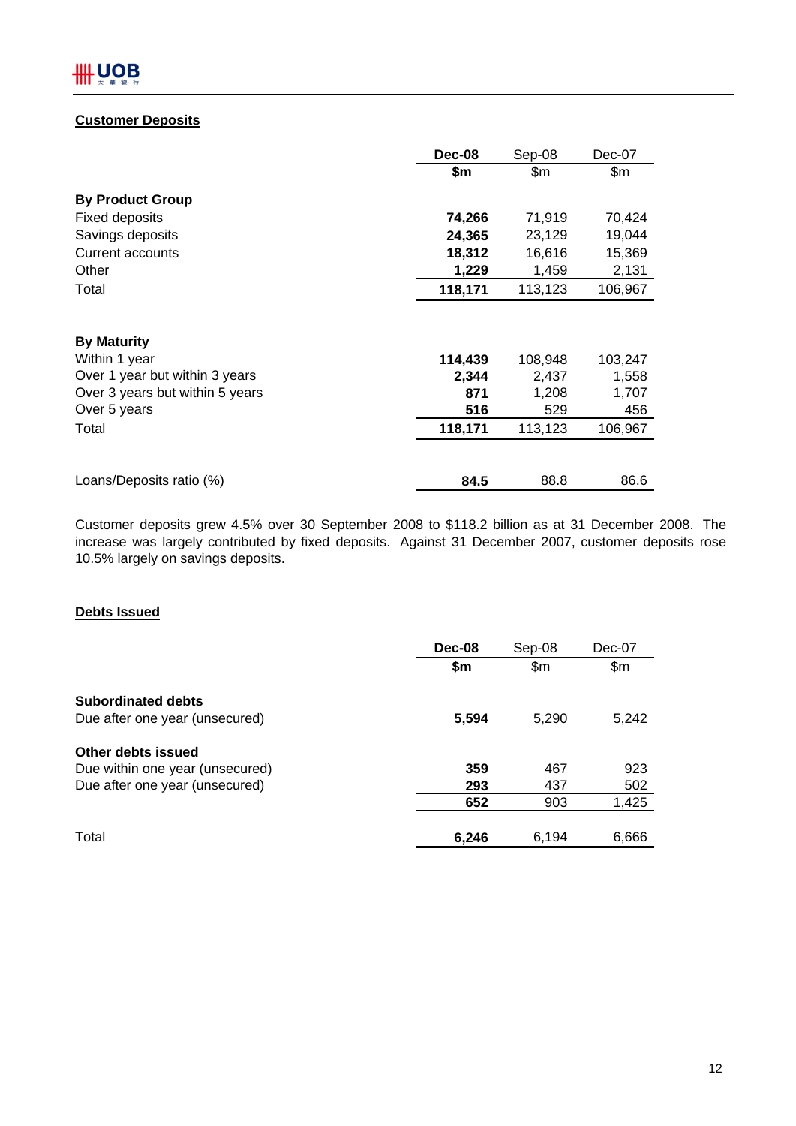# **Customer Deposits**

|                                 | Dec-08  | Sep-08  | Dec-07  |
|---------------------------------|---------|---------|---------|
|                                 | \$m     | \$m     | \$m\$   |
| <b>By Product Group</b>         |         |         |         |
| <b>Fixed deposits</b>           | 74,266  | 71,919  | 70,424  |
| Savings deposits                | 24,365  | 23,129  | 19,044  |
| Current accounts                | 18,312  | 16,616  | 15,369  |
| Other                           | 1,229   | 1,459   | 2,131   |
| Total                           | 118,171 | 113,123 | 106,967 |
|                                 |         |         |         |
| <b>By Maturity</b>              |         |         |         |
| Within 1 year                   | 114,439 | 108,948 | 103,247 |
| Over 1 year but within 3 years  | 2,344   | 2,437   | 1,558   |
| Over 3 years but within 5 years | 871     | 1,208   | 1,707   |
| Over 5 years                    | 516     | 529     | 456     |
| Total                           | 118,171 | 113,123 | 106,967 |
|                                 |         |         |         |
| Loans/Deposits ratio (%)        | 84.5    | 88.8    | 86.6    |

Customer deposits grew 4.5% over 30 September 2008 to \$118.2 billion as at 31 December 2008. The increase was largely contributed by fixed deposits. Against 31 December 2007, customer deposits rose 10.5% largely on savings deposits.

# **Debts Issued**

|                                 | Dec-08 | Sep-08 | $Dec-07$ |
|---------------------------------|--------|--------|----------|
|                                 | \$m    | \$m\$  | \$m\$    |
| <b>Subordinated debts</b>       |        |        |          |
| Due after one year (unsecured)  | 5,594  | 5.290  | 5,242    |
| Other debts issued              |        |        |          |
| Due within one year (unsecured) | 359    | 467    | 923      |
| Due after one year (unsecured)  | 293    | 437    | 502      |
|                                 | 652    | 903    | 1,425    |
| Total                           | 6,246  | 6,194  | 6,666    |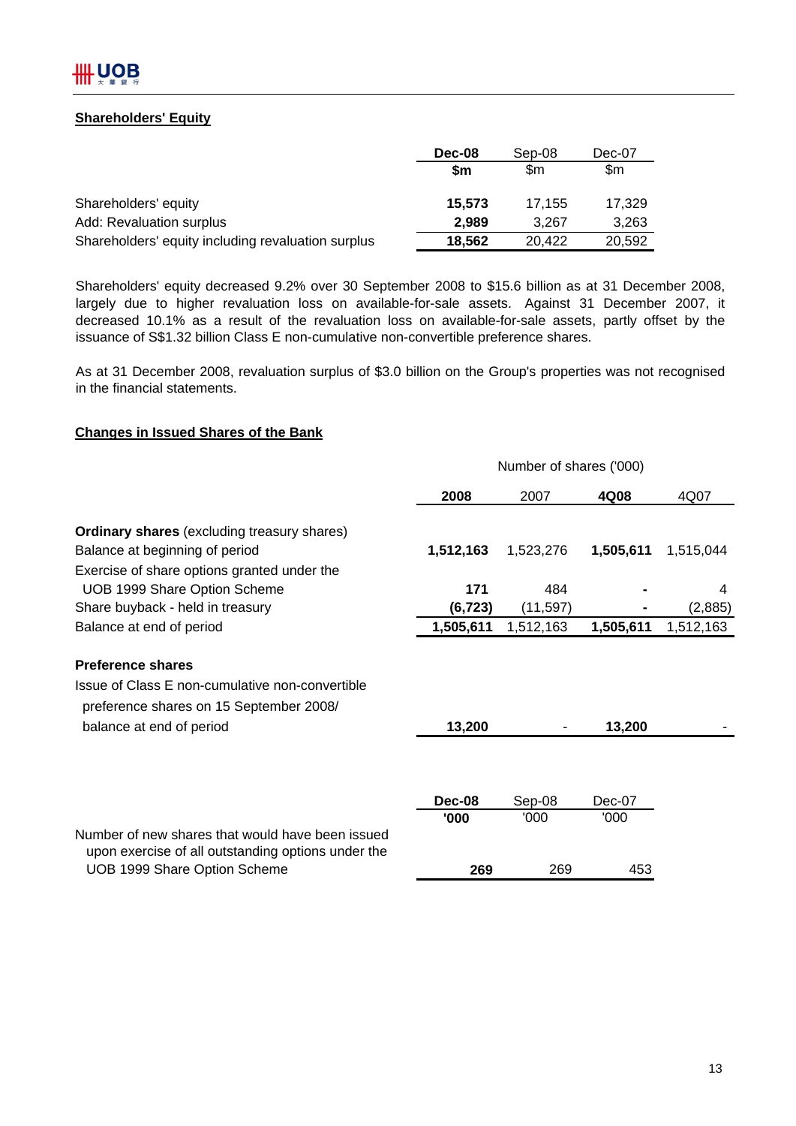# **Shareholders' Equity**

|                                                    | Dec-08 | Sep-08 | Dec-07 |
|----------------------------------------------------|--------|--------|--------|
|                                                    | \$m    | \$m    | \$m    |
| Shareholders' equity                               | 15,573 | 17.155 | 17,329 |
| Add: Revaluation surplus                           | 2.989  | 3.267  | 3,263  |
| Shareholders' equity including revaluation surplus | 18,562 | 20.422 | 20,592 |

Shareholders' equity decreased 9.2% over 30 September 2008 to \$15.6 billion as at 31 December 2008, largely due to higher revaluation loss on available-for-sale assets. Against 31 December 2007, it decreased 10.1% as a result of the revaluation loss on available-for-sale assets, partly offset by the issuance of S\$1.32 billion Class E non-cumulative non-convertible preference shares.

As at 31 December 2008, revaluation surplus of \$3.0 billion on the Group's properties was not recognised in the financial statements.

# **Changes in Issued Shares of the Bank**

|                                                                                                        | Number of shares ('000) |           |           |           |  |
|--------------------------------------------------------------------------------------------------------|-------------------------|-----------|-----------|-----------|--|
|                                                                                                        | 2008                    | 2007      | 4Q08      | 4Q07      |  |
| <b>Ordinary shares</b> (excluding treasury shares)                                                     |                         |           |           |           |  |
| Balance at beginning of period                                                                         | 1,512,163               | 1,523,276 | 1,505,611 | 1,515,044 |  |
| Exercise of share options granted under the                                                            |                         |           |           |           |  |
| UOB 1999 Share Option Scheme                                                                           | 171                     | 484       |           | 4         |  |
| Share buyback - held in treasury                                                                       | (6, 723)                | (11, 597) |           | (2,885)   |  |
| Balance at end of period                                                                               | 1,505,611               | 1,512,163 | 1,505,611 | 1,512,163 |  |
| <b>Preference shares</b>                                                                               |                         |           |           |           |  |
| Issue of Class E non-cumulative non-convertible                                                        |                         |           |           |           |  |
| preference shares on 15 September 2008/                                                                |                         |           |           |           |  |
| balance at end of period                                                                               | 13,200                  |           | 13,200    |           |  |
|                                                                                                        |                         |           |           |           |  |
|                                                                                                        | Dec-08                  | Sep-08    | $Dec-07$  |           |  |
|                                                                                                        | '000                    | '000      | '000      |           |  |
| Number of new shares that would have been issued<br>upon exercise of all outstanding options under the |                         |           |           |           |  |
| UOB 1999 Share Option Scheme                                                                           | 269                     | 269       | 453       |           |  |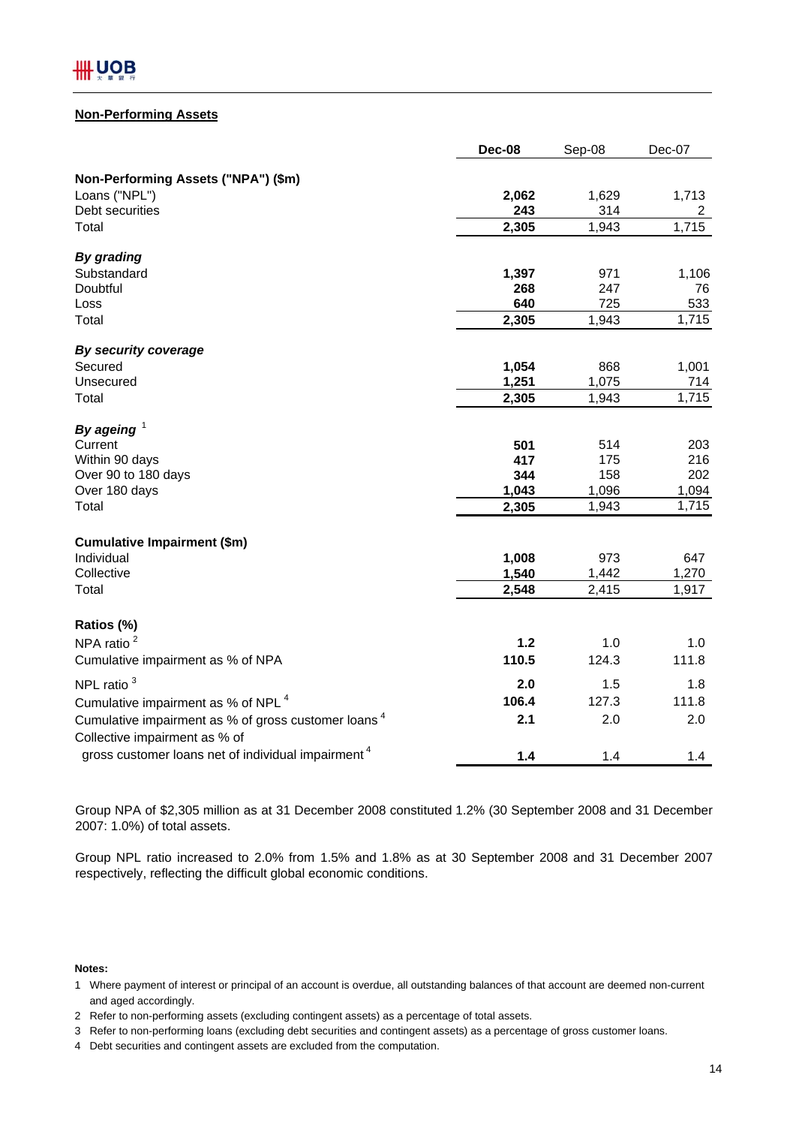# **Non-Performing Assets**

|                                                                                                  | <b>Dec-08</b> | Sep-08 | Dec-07         |
|--------------------------------------------------------------------------------------------------|---------------|--------|----------------|
| Non-Performing Assets ("NPA") (\$m)                                                              |               |        |                |
| Loans ("NPL")                                                                                    | 2,062         | 1,629  | 1,713          |
| Debt securities                                                                                  | 243           | 314    | $\overline{2}$ |
| Total                                                                                            | 2,305         | 1,943  | 1,715          |
| <b>By grading</b>                                                                                |               |        |                |
| Substandard                                                                                      | 1,397         | 971    | 1,106          |
| Doubtful                                                                                         | 268           | 247    | 76             |
| Loss                                                                                             | 640           | 725    | 533            |
| Total                                                                                            | 2,305         | 1,943  | 1,715          |
| By security coverage                                                                             |               |        |                |
| Secured                                                                                          | 1,054         | 868    | 1,001          |
| Unsecured                                                                                        | 1,251         | 1,075  | 714            |
| Total                                                                                            | 2,305         | 1,943  | 1,715          |
| By ageing $1$                                                                                    |               |        |                |
| Current                                                                                          | 501           | 514    | 203            |
| Within 90 days                                                                                   | 417           | 175    | 216            |
| Over 90 to 180 days                                                                              | 344           | 158    | 202            |
| Over 180 days                                                                                    | 1,043         | 1,096  | 1,094          |
| Total                                                                                            | 2,305         | 1,943  | 1,715          |
| <b>Cumulative Impairment (\$m)</b>                                                               |               |        |                |
| Individual                                                                                       | 1,008         | 973    | 647            |
| Collective                                                                                       | 1,540         | 1,442  | 1,270          |
| Total                                                                                            | 2,548         | 2,415  | 1,917          |
| Ratios (%)                                                                                       |               |        |                |
| NPA ratio <sup>2</sup>                                                                           | $1.2$         | 1.0    | 1.0            |
| Cumulative impairment as % of NPA                                                                | 110.5         | 124.3  | 111.8          |
| NPL ratio <sup>3</sup>                                                                           | 2.0           | 1.5    | 1.8            |
| Cumulative impairment as % of NPL <sup>4</sup>                                                   | 106.4         | 127.3  | 111.8          |
| Cumulative impairment as % of gross customer loans <sup>4</sup><br>Collective impairment as % of | 2.1           | 2.0    | 2.0            |
| gross customer loans net of individual impairment <sup>4</sup>                                   | $1.4$         | 1.4    | 1.4            |

Group NPA of \$2,305 million as at 31 December 2008 constituted 1.2% (30 September 2008 and 31 December 2007: 1.0%) of total assets.

Group NPL ratio increased to 2.0% from 1.5% and 1.8% as at 30 September 2008 and 31 December 2007 respectively, reflecting the difficult global economic conditions.

**Notes:**

and aged accordingly. 1 Where payment of interest or principal of an account is overdue, all outstanding balances of that account are deemed non-current

<sup>2</sup> Refer to non-performing assets (excluding contingent assets) as a percentage of total assets.

<sup>3</sup> Refer to non-performing loans (excluding debt securities and contingent assets) as a percentage of gross customer loans.

<sup>4</sup> Debt securities and contingent assets are excluded from the computation.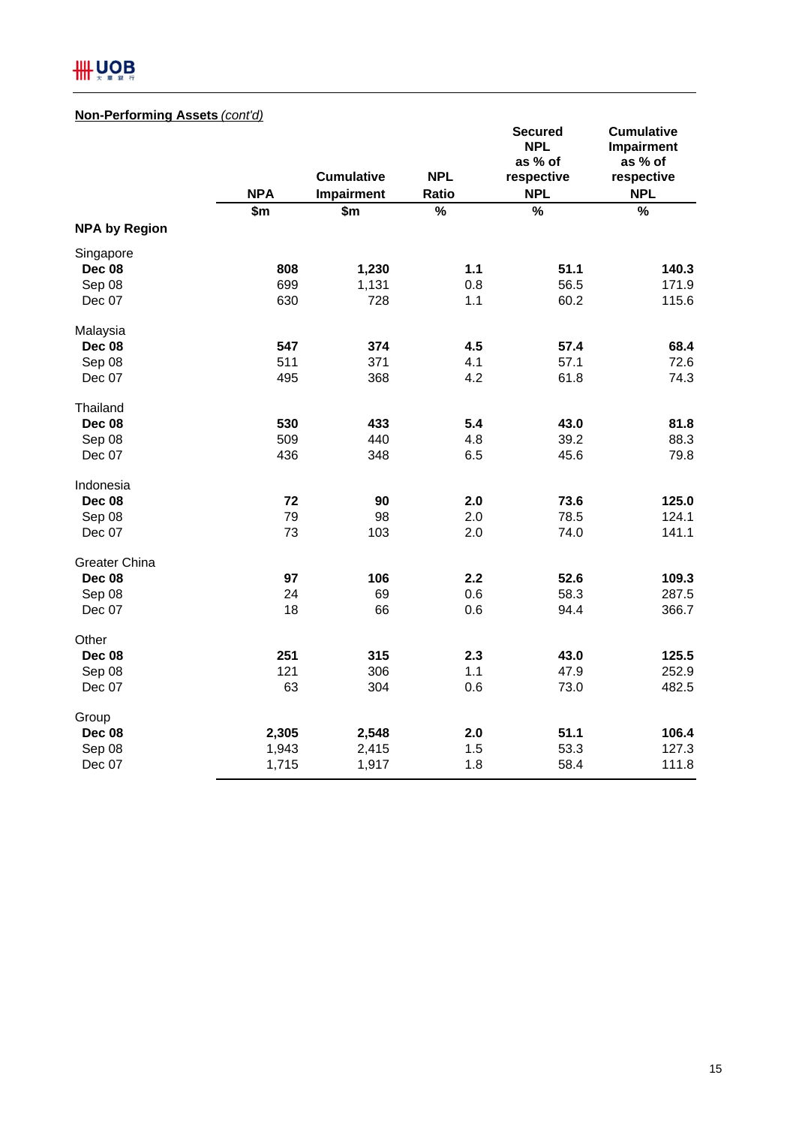# **III UOB**

# **Non-Performing Assets** *(cont'd)*

|                      | <b>NPA</b> | <b>Cumulative</b><br>Impairment | <b>NPL</b><br>Ratio | <b>Secured</b><br><b>NPL</b><br>as % of<br>respective<br><b>NPL</b> | <b>Cumulative</b><br>Impairment<br>as % of<br>respective<br><b>NPL</b> |
|----------------------|------------|---------------------------------|---------------------|---------------------------------------------------------------------|------------------------------------------------------------------------|
|                      | \$m\$      | \$m                             | %                   | $\frac{1}{2}$                                                       | $\frac{0}{0}$                                                          |
| <b>NPA by Region</b> |            |                                 |                     |                                                                     |                                                                        |
| Singapore            |            |                                 |                     |                                                                     |                                                                        |
| <b>Dec 08</b>        | 808        | 1,230                           | $1.1$               | 51.1                                                                | 140.3                                                                  |
| Sep 08               | 699        | 1,131                           | 0.8                 | 56.5                                                                | 171.9                                                                  |
| Dec 07               | 630        | 728                             | 1.1                 | 60.2                                                                | 115.6                                                                  |
| Malaysia             |            |                                 |                     |                                                                     |                                                                        |
| <b>Dec 08</b>        | 547        | 374                             | 4.5                 | 57.4                                                                | 68.4                                                                   |
| Sep 08               | 511        | 371                             | 4.1                 | 57.1                                                                | 72.6                                                                   |
| Dec 07               | 495        | 368                             | 4.2                 | 61.8                                                                | 74.3                                                                   |
| Thailand             |            |                                 |                     |                                                                     |                                                                        |
| <b>Dec 08</b>        | 530        | 433                             | 5.4                 | 43.0                                                                | 81.8                                                                   |
| Sep 08               | 509        | 440                             | 4.8                 | 39.2                                                                | 88.3                                                                   |
| Dec 07               | 436        | 348                             | 6.5                 | 45.6                                                                | 79.8                                                                   |
| Indonesia            |            |                                 |                     |                                                                     |                                                                        |
| <b>Dec 08</b>        | 72         | 90                              | 2.0                 | 73.6                                                                | 125.0                                                                  |
| Sep 08               | 79         | 98                              | 2.0                 | 78.5                                                                | 124.1                                                                  |
| Dec 07               | 73         | 103                             | 2.0                 | 74.0                                                                | 141.1                                                                  |
| Greater China        |            |                                 |                     |                                                                     |                                                                        |
| <b>Dec 08</b>        | 97         | 106                             | 2.2                 | 52.6                                                                | 109.3                                                                  |
| Sep 08               | 24         | 69                              | 0.6                 | 58.3                                                                | 287.5                                                                  |
| Dec 07               | 18         | 66                              | 0.6                 | 94.4                                                                | 366.7                                                                  |
| Other                |            |                                 |                     |                                                                     |                                                                        |
| <b>Dec 08</b>        | 251        | 315                             | 2.3                 | 43.0                                                                | 125.5                                                                  |
| Sep 08               | 121        | 306                             | 1.1                 | 47.9                                                                | 252.9                                                                  |
| Dec 07               | 63         | 304                             | 0.6                 | 73.0                                                                | 482.5                                                                  |
| Group                |            |                                 |                     |                                                                     |                                                                        |
| Dec 08               | 2,305      | 2,548                           | 2.0                 | 51.1                                                                | 106.4                                                                  |
| Sep 08               | 1,943      | 2,415                           | 1.5                 | 53.3                                                                | 127.3                                                                  |
| Dec 07               | 1,715      | 1,917                           | 1.8                 | 58.4                                                                | 111.8                                                                  |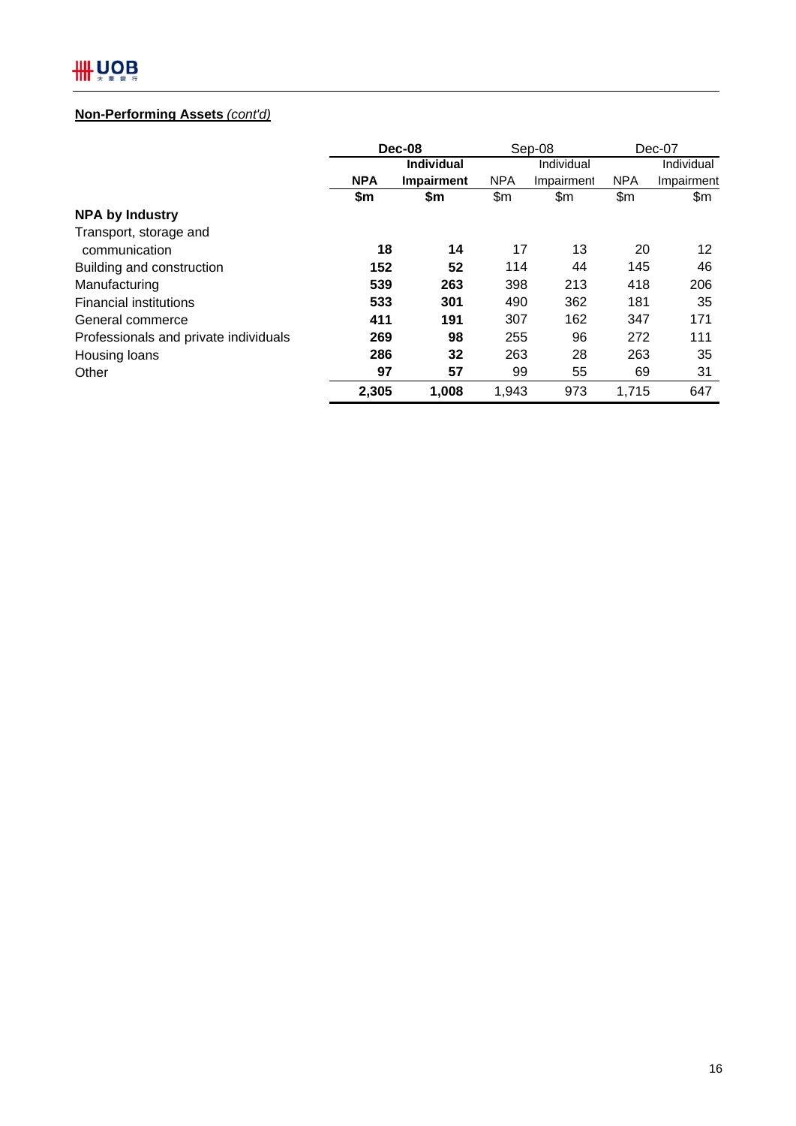# **Non-Performing Assets** *(cont'd)*

|                                       | Dec-08     |                   | Sep-08     |            | $Dec-07$   |            |  |
|---------------------------------------|------------|-------------------|------------|------------|------------|------------|--|
|                                       |            | <b>Individual</b> | Individual |            |            | Individual |  |
|                                       | <b>NPA</b> | Impairment        | <b>NPA</b> | Impairment | <b>NPA</b> | Impairment |  |
|                                       | \$m        | \$m               | \$m        | \$m        | \$m        | \$m        |  |
| <b>NPA by Industry</b>                |            |                   |            |            |            |            |  |
| Transport, storage and                |            |                   |            |            |            |            |  |
| communication                         | 18         | 14                | 17         | 13         | 20         | 12         |  |
| Building and construction             | 152        | 52                | 114        | 44         | 145        | 46         |  |
| Manufacturing                         | 539        | 263               | 398        | 213        | 418        | 206        |  |
| <b>Financial institutions</b>         | 533        | 301               | 490        | 362        | 181        | 35         |  |
| General commerce                      | 411        | 191               | 307        | 162        | 347        | 171        |  |
| Professionals and private individuals | 269        | 98                | 255        | 96         | 272        | 111        |  |
| Housing loans                         | 286        | 32                | 263        | 28         | 263        | 35         |  |
| Other                                 | 97         | 57                | 99         | 55         | 69         | 31         |  |
|                                       | 2,305      | 1,008             | 1,943      | 973        | 1,715      | 647        |  |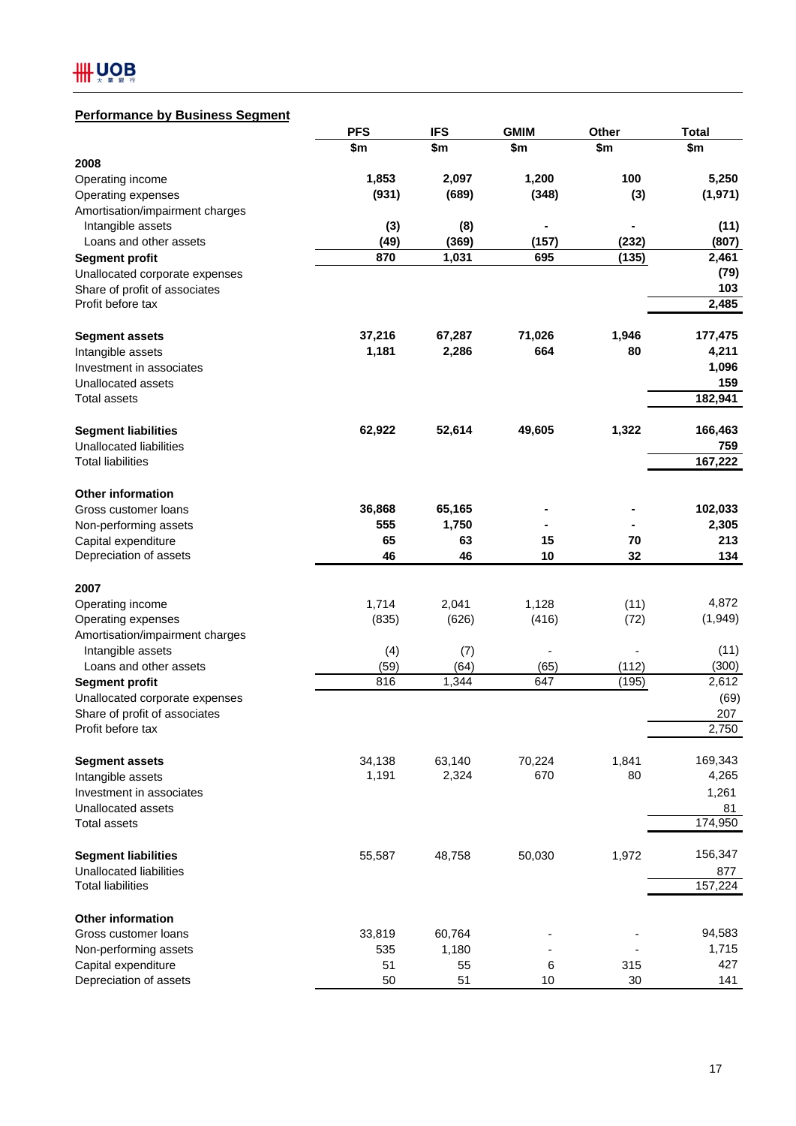# **Performance by Business Segment**

|                                                      | <b>PFS</b>  | <b>IFS</b>  | <b>GMIM</b>    | Other | <b>Total</b> |
|------------------------------------------------------|-------------|-------------|----------------|-------|--------------|
|                                                      | \$m         | \$m         | \$m            | \$m   | \$m          |
| 2008                                                 |             |             |                |       |              |
| Operating income                                     | 1,853       | 2,097       | 1,200          | 100   | 5,250        |
| Operating expenses                                   | (931)       | (689)       | (348)          | (3)   | (1, 971)     |
| Amortisation/impairment charges                      |             |             |                |       |              |
| Intangible assets                                    | (3)         | (8)         | ۰              |       | (11)         |
| Loans and other assets                               | (49)        | (369)       | (157)          | (232) | (807)        |
| <b>Segment profit</b>                                | 870         | 1,031       | 695            | (135) | 2,461        |
| Unallocated corporate expenses                       |             |             |                |       | (79)         |
| Share of profit of associates                        |             |             |                |       | 103          |
| Profit before tax                                    |             |             |                |       | 2,485        |
|                                                      | 37,216      | 67,287      | 71,026         | 1,946 | 177,475      |
| <b>Segment assets</b>                                | 1,181       | 2,286       | 664            | 80    | 4,211        |
| Intangible assets                                    |             |             |                |       |              |
| Investment in associates                             |             |             |                |       | 1,096<br>159 |
| Unallocated assets<br><b>Total assets</b>            |             |             |                |       | 182,941      |
|                                                      |             |             |                |       |              |
| <b>Segment liabilities</b>                           | 62,922      | 52,614      | 49,605         | 1,322 | 166,463      |
| Unallocated liabilities                              |             |             |                |       | 759          |
| <b>Total liabilities</b>                             |             |             |                |       | 167,222      |
|                                                      |             |             |                |       |              |
| <b>Other information</b>                             |             |             |                |       |              |
| Gross customer loans                                 | 36,868      | 65,165      |                |       | 102,033      |
| Non-performing assets                                | 555         | 1,750       |                |       | 2,305        |
| Capital expenditure                                  | 65          | 63          | 15             | 70    | 213          |
| Depreciation of assets                               | 46          | 46          | 10             | 32    | 134          |
| 2007                                                 |             |             |                |       |              |
|                                                      |             |             |                |       | 4,872        |
| Operating income                                     | 1,714       | 2,041       | 1,128          | (11)  | (1,949)      |
| Operating expenses                                   | (835)       | (626)       | (416)          | (72)  |              |
| Amortisation/impairment charges<br>Intangible assets |             |             | $\blacksquare$ |       | (11)         |
| Loans and other assets                               | (4)<br>(59) | (7)<br>(64) | (65)           | (112) | (300)        |
| <b>Segment profit</b>                                | 816         | 1,344       | 647            | (195) | 2,612        |
| Unallocated corporate expenses                       |             |             |                |       | (69)         |
| Share of profit of associates                        |             |             |                |       | 207          |
| Profit before tax                                    |             |             |                |       | 2,750        |
|                                                      |             |             |                |       |              |
| <b>Segment assets</b>                                | 34,138      | 63,140      | 70,224         | 1,841 | 169,343      |
| Intangible assets                                    | 1,191       | 2,324       | 670            | 80    | 4,265        |
| Investment in associates                             |             |             |                |       | 1,261        |
| Unallocated assets                                   |             |             |                |       | 81           |
| Total assets                                         |             |             |                |       | 174,950      |
|                                                      |             |             |                |       |              |
| <b>Segment liabilities</b>                           | 55,587      | 48,758      | 50,030         | 1,972 | 156,347      |
| Unallocated liabilities                              |             |             |                |       | 877          |
| <b>Total liabilities</b>                             |             |             |                |       | 157,224      |
| <b>Other information</b>                             |             |             |                |       |              |
| Gross customer loans                                 | 33,819      | 60,764      |                |       | 94,583       |
| Non-performing assets                                | 535         | 1,180       |                |       | 1,715        |
| Capital expenditure                                  | 51          | 55          | 6              | 315   | 427          |
| Depreciation of assets                               | 50          | 51          | 10             | 30    | 141          |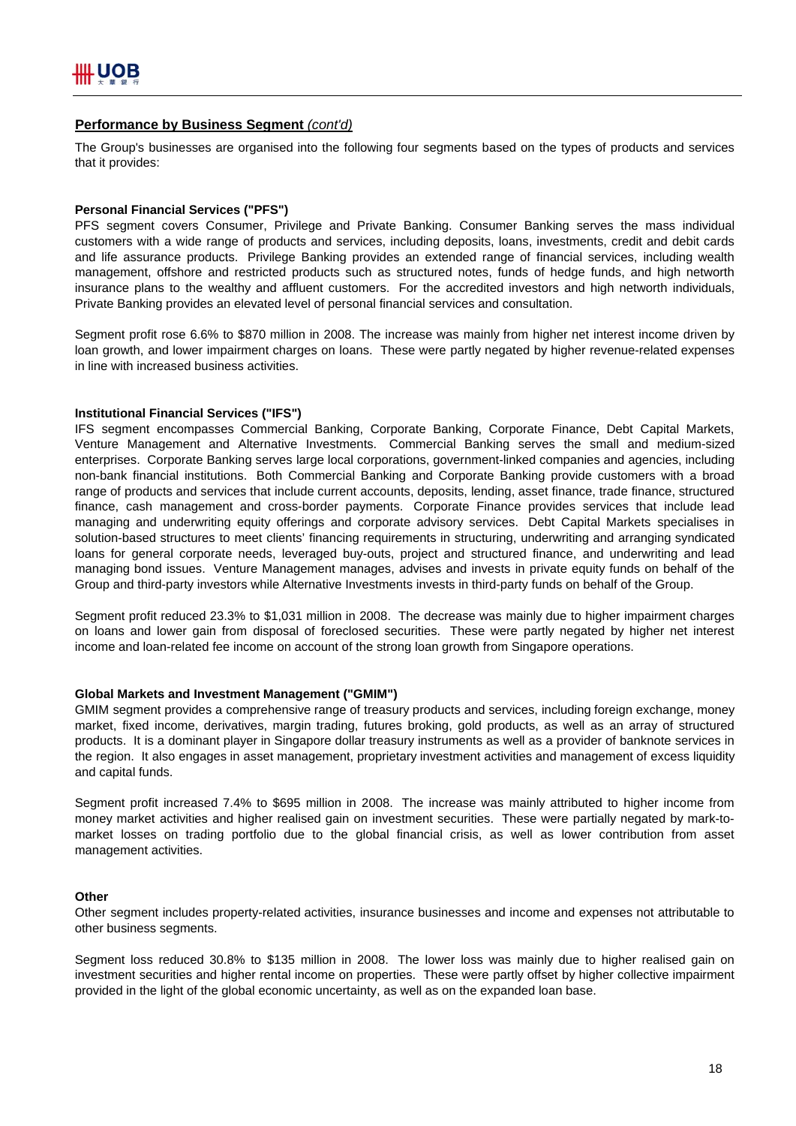## **Performance by Business Segment** *(cont'd)*

The Group's businesses are organised into the following four segments based on the types of products and services that it provides:

#### **Personal Financial Services ("PFS")**

PFS segment covers Consumer, Privilege and Private Banking. Consumer Banking serves the mass individual customers with a wide range of products and services, including deposits, loans, investments, credit and debit cards and life assurance products. Privilege Banking provides an extended range of financial services, including wealth management, offshore and restricted products such as structured notes, funds of hedge funds, and high networth insurance plans to the wealthy and affluent customers. For the accredited investors and high networth individuals, Private Banking provides an elevated level of personal financial services and consultation.

Segment profit rose 6.6% to \$870 million in 2008. The increase was mainly from higher net interest income driven by loan growth, and lower impairment charges on loans. These were partly negated by higher revenue-related expenses in line with increased business activities.

#### **Institutional Financial Services ("IFS")**

IFS segment encompasses Commercial Banking, Corporate Banking, Corporate Finance, Debt Capital Markets, Venture Management and Alternative Investments. Commercial Banking serves the small and medium-sized enterprises. Corporate Banking serves large local corporations, government-linked companies and agencies, including non-bank financial institutions. Both Commercial Banking and Corporate Banking provide customers with a broad range of products and services that include current accounts, deposits, lending, asset finance, trade finance, structured finance, cash management and cross-border payments. Corporate Finance provides services that include lead managing and underwriting equity offerings and corporate advisory services. Debt Capital Markets specialises in solution-based structures to meet clients' financing requirements in structuring, underwriting and arranging syndicated loans for general corporate needs, leveraged buy-outs, project and structured finance, and underwriting and lead managing bond issues. Venture Management manages, advises and invests in private equity funds on behalf of the Group and third-party investors while Alternative Investments invests in third-party funds on behalf of the Group.

Segment profit reduced 23.3% to \$1,031 million in 2008. The decrease was mainly due to higher impairment charges on loans and lower gain from disposal of foreclosed securities. These were partly negated by higher net interest income and loan-related fee income on account of the strong loan growth from Singapore operations.

#### **Global Markets and Investment Management ("GMIM")**

GMIM segment provides a comprehensive range of treasury products and services, including foreign exchange, money market, fixed income, derivatives, margin trading, futures broking, gold products, as well as an array of structured products. It is a dominant player in Singapore dollar treasury instruments as well as a provider of banknote services in the region. It also engages in asset management, proprietary investment activities and management of excess liquidity and capital funds.

Segment profit increased 7.4% to \$695 million in 2008. The increase was mainly attributed to higher income from money market activities and higher realised gain on investment securities. These were partially negated by mark-tomarket losses on trading portfolio due to the global financial crisis, as well as lower contribution from asset management activities.

#### **Other**

Other segment includes property-related activities, insurance businesses and income and expenses not attributable to other business segments.

Segment loss reduced 30.8% to \$135 million in 2008. The lower loss was mainly due to higher realised gain on investment securities and higher rental income on properties. These were partly offset by higher collective impairment provided in the light of the global economic uncertainty, as well as on the expanded loan base.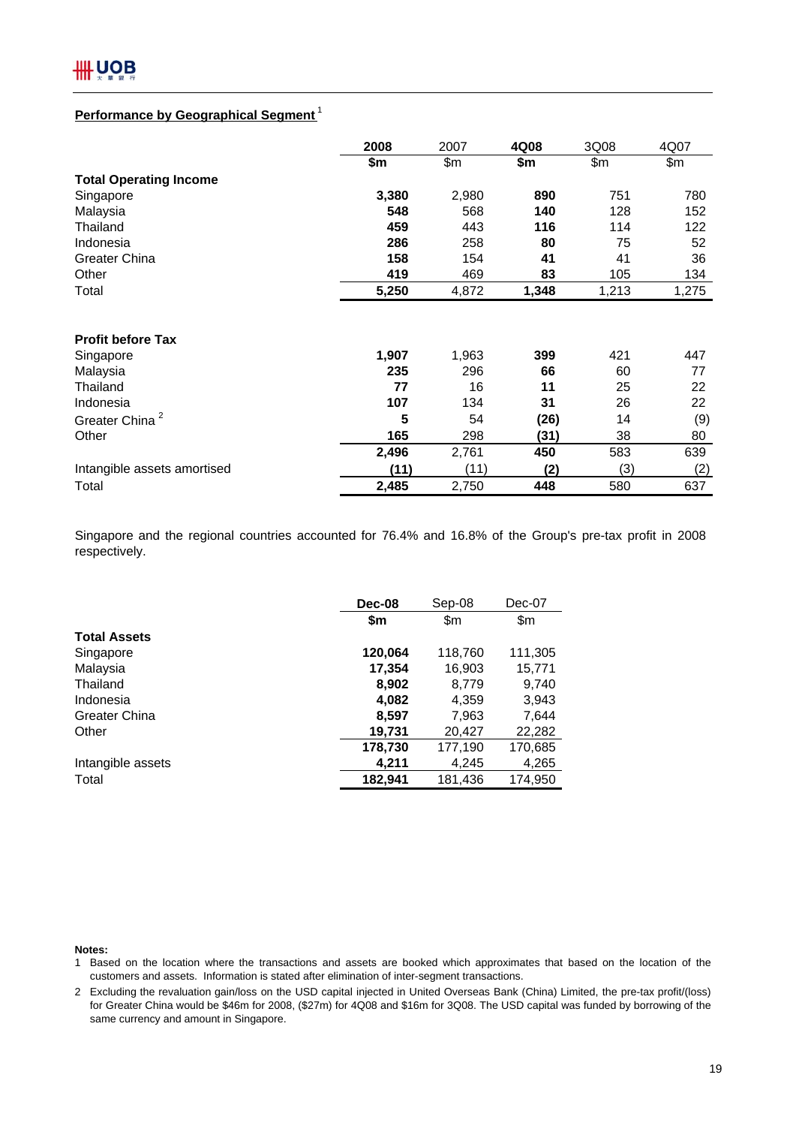

# **Performance by Geographical Segment** <sup>1</sup>

|                               | 2008  | 2007  | 4Q08  | 3Q08  | 4Q07  |
|-------------------------------|-------|-------|-------|-------|-------|
|                               | \$m   | \$m   | \$m   | \$m\$ | \$m\$ |
| <b>Total Operating Income</b> |       |       |       |       |       |
| Singapore                     | 3,380 | 2,980 | 890   | 751   | 780   |
| Malaysia                      | 548   | 568   | 140   | 128   | 152   |
| Thailand                      | 459   | 443   | 116   | 114   | 122   |
| Indonesia                     | 286   | 258   | 80    | 75    | 52    |
| Greater China                 | 158   | 154   | 41    | 41    | 36    |
| Other                         | 419   | 469   | 83    | 105   | 134   |
| Total                         | 5,250 | 4,872 | 1,348 | 1,213 | 1,275 |
|                               |       |       |       |       |       |
| <b>Profit before Tax</b>      |       |       |       |       |       |
| Singapore                     | 1,907 | 1,963 | 399   | 421   | 447   |
| Malaysia                      | 235   | 296   | 66    | 60    | 77    |
| Thailand                      | 77    | 16    | 11    | 25    | 22    |
| Indonesia                     | 107   | 134   | 31    | 26    | 22    |
| Greater China <sup>2</sup>    | 5     | 54    | (26)  | 14    | (9)   |
| Other                         | 165   | 298   | (31)  | 38    | 80    |
|                               | 2,496 | 2,761 | 450   | 583   | 639   |
| Intangible assets amortised   | (11)  | (11)  | (2)   | (3)   | (2)   |
| Total                         | 2,485 | 2,750 | 448   | 580   | 637   |

Singapore and the regional countries accounted for 76.4% and 16.8% of the Group's pre-tax profit in 2008 respectively.

| Dec-08  | Sep-08  | Dec-07  |
|---------|---------|---------|
| \$m     | \$m     | \$m     |
|         |         |         |
| 120,064 | 118,760 | 111,305 |
| 17,354  | 16,903  | 15,771  |
| 8,902   | 8,779   | 9,740   |
| 4,082   | 4,359   | 3,943   |
| 8,597   | 7,963   | 7,644   |
| 19,731  | 20,427  | 22,282  |
| 178,730 | 177,190 | 170,685 |
| 4,211   | 4,245   | 4,265   |
| 182,941 | 181,436 | 174,950 |
|         |         |         |

#### **Notes:**

1 Based on the location where the transactions and assets are booked which approximates that based on the location of the customers and assets. Information is stated after elimination of inter-segment transactions.

2 Excluding the revaluation gain/loss on the USD capital injected in United Overseas Bank (China) Limited, the pre-tax profit/(loss) for Greater China would be \$46m for 2008, (\$27m) for 4Q08 and \$16m for 3Q08. The USD capital was funded by borrowing of the same currency and amount in Singapore.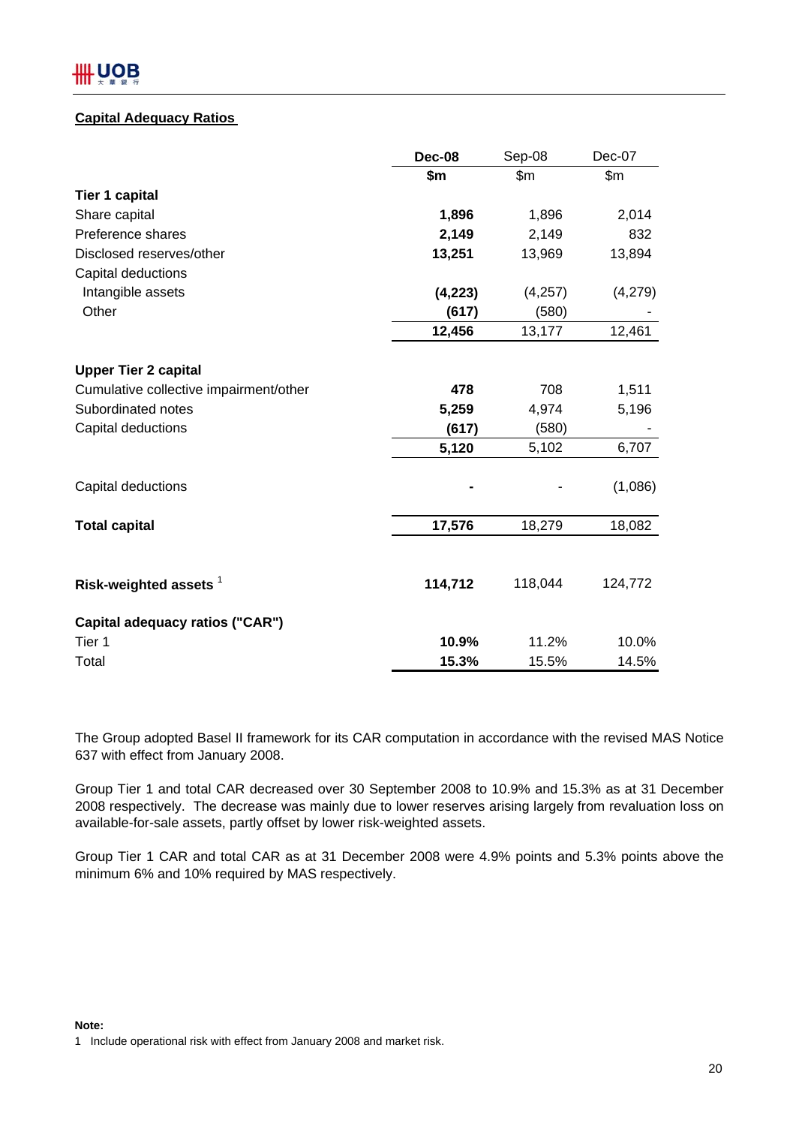# **Capital Adequacy Ratios**

|                                        | <b>Dec-08</b> | Sep-08   | Dec-07  |
|----------------------------------------|---------------|----------|---------|
|                                        | \$m           | \$m\$    | \$m     |
| <b>Tier 1 capital</b>                  |               |          |         |
| Share capital                          | 1,896         | 1,896    | 2,014   |
| Preference shares                      | 2,149         | 2,149    | 832     |
| Disclosed reserves/other               | 13,251        | 13,969   | 13,894  |
| Capital deductions                     |               |          |         |
| Intangible assets                      | (4, 223)      | (4, 257) | (4,279) |
| Other                                  | (617)         | (580)    |         |
|                                        | 12,456        | 13,177   | 12,461  |
|                                        |               |          |         |
| <b>Upper Tier 2 capital</b>            |               |          |         |
| Cumulative collective impairment/other | 478           | 708      | 1,511   |
| Subordinated notes                     | 5,259         | 4,974    | 5,196   |
| Capital deductions                     | (617)         | (580)    |         |
|                                        | 5,120         | 5,102    | 6,707   |
| Capital deductions                     |               |          | (1,086) |
| <b>Total capital</b>                   | 17,576        | 18,279   | 18,082  |
|                                        |               |          |         |
| Risk-weighted assets <sup>1</sup>      | 114,712       | 118,044  | 124,772 |
| Capital adequacy ratios ("CAR")        |               |          |         |
| Tier 1                                 | 10.9%         | 11.2%    | 10.0%   |
| Total                                  | 15.3%         | 15.5%    | 14.5%   |

The Group adopted Basel II framework for its CAR computation in accordance with the revised MAS Notice 637 with effect from January 2008.

Group Tier 1 and total CAR decreased over 30 September 2008 to 10.9% and 15.3% as at 31 December 2008 respectively. The decrease was mainly due to lower reserves arising largely from revaluation loss on available-for-sale assets, partly offset by lower risk-weighted assets.

Group Tier 1 CAR and total CAR as at 31 December 2008 were 4.9% points and 5.3% points above the minimum 6% and 10% required by MAS respectively.

#### **Note:**

<sup>1</sup> Include operational risk with effect from January 2008 and market risk.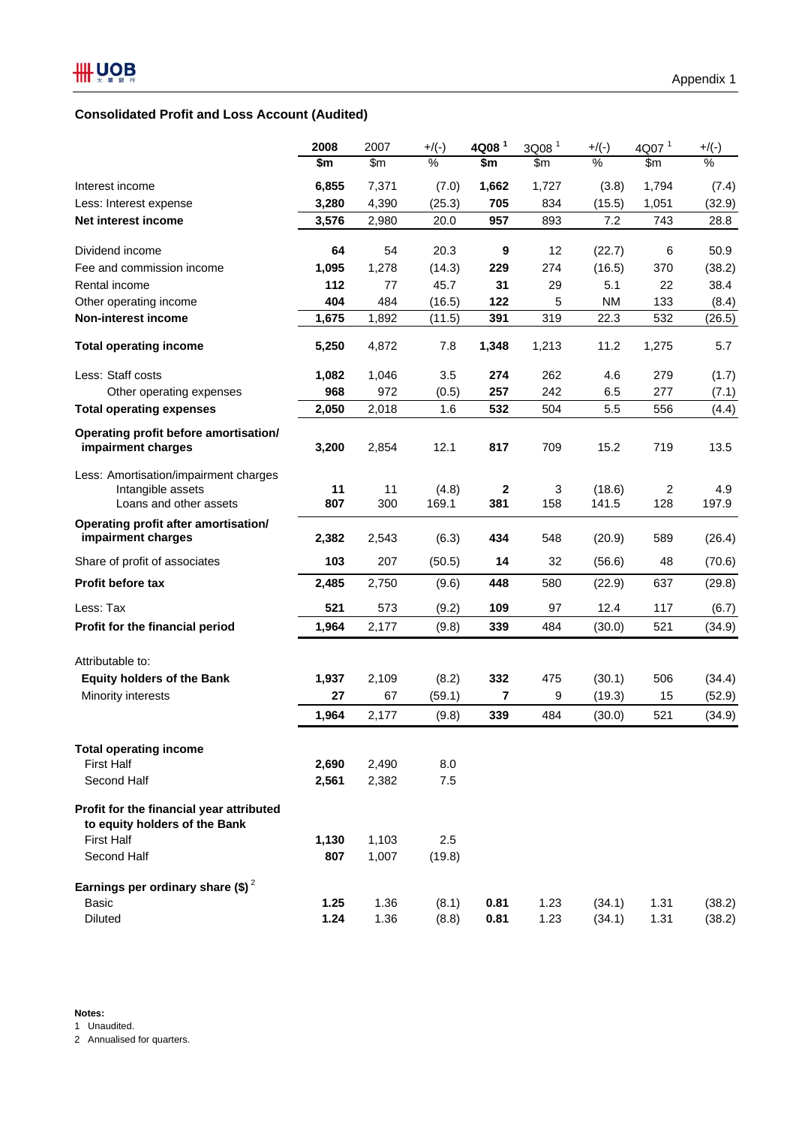# **Consolidated Profit and Loss Account (Audited)**

|                                                                                      | 2008      | 2007          | $+/(-)$        | 4Q08 <sup>1</sup>       | 3Q08 <sup>1</sup> | $+$ /(-)        | 4Q07 <sup>1</sup> | $+$ /(-)     |
|--------------------------------------------------------------------------------------|-----------|---------------|----------------|-------------------------|-------------------|-----------------|-------------------|--------------|
|                                                                                      | \$m       | $\mathsf{Sm}$ | $\%$           | \$m                     | $\mathsf{Sm}$     | $\%$            | \$m               | $\%$         |
| Interest income                                                                      | 6,855     | 7,371         | (7.0)          | 1,662                   | 1,727             | (3.8)           | 1,794             | (7.4)        |
| Less: Interest expense                                                               | 3,280     | 4,390         | (25.3)         | 705                     | 834               | (15.5)          | 1,051             | (32.9)       |
| Net interest income                                                                  | 3,576     | 2,980         | 20.0           | 957                     | 893               | 7.2             | 743               | 28.8         |
| Dividend income                                                                      | 64        | 54            | 20.3           | 9                       | 12                | (22.7)          | 6                 | 50.9         |
| Fee and commission income                                                            | 1,095     | 1,278         | (14.3)         | 229                     | 274               | (16.5)          | 370               | (38.2)       |
| Rental income                                                                        | 112       | 77            | 45.7           | 31                      | 29                | 5.1             | 22                | 38.4         |
| Other operating income                                                               | 404       | 484           | (16.5)         | 122                     | 5                 | <b>NM</b>       | 133               | (8.4)        |
| Non-interest income                                                                  | 1,675     | 1,892         | (11.5)         | 391                     | 319               | 22.3            | 532               | (26.5)       |
| <b>Total operating income</b>                                                        | 5,250     | 4,872         | 7.8            | 1,348                   | 1,213             | 11.2            | 1,275             | 5.7          |
| Less: Staff costs                                                                    | 1,082     | 1,046         | 3.5            | 274                     | 262               | 4.6             | 279               | (1.7)        |
| Other operating expenses                                                             | 968       | 972           | (0.5)          | 257                     | 242               | 6.5             | 277               | (7.1)        |
| <b>Total operating expenses</b>                                                      | 2,050     | 2,018         | 1.6            | 532                     | 504               | 5.5             | 556               | (4.4)        |
| Operating profit before amortisation/<br>impairment charges                          | 3,200     | 2,854         | 12.1           | 817                     | 709               | 15.2            | 719               | 13.5         |
| Less: Amortisation/impairment charges<br>Intangible assets<br>Loans and other assets | 11<br>807 | 11<br>300     | (4.8)<br>169.1 | $\boldsymbol{2}$<br>381 | 3<br>158          | (18.6)<br>141.5 | 2<br>128          | 4.9<br>197.9 |
| Operating profit after amortisation/<br>impairment charges                           | 2,382     | 2,543         | (6.3)          | 434                     | 548               | (20.9)          | 589               | (26.4)       |
| Share of profit of associates                                                        | 103       | 207           | (50.5)         | 14                      | 32                | (56.6)          | 48                | (70.6)       |
| Profit before tax                                                                    | 2,485     | 2,750         | (9.6)          | 448                     | 580               | (22.9)          | 637               | (29.8)       |
| Less: Tax                                                                            | 521       | 573           | (9.2)          | 109                     | 97                | 12.4            | 117               | (6.7)        |
| Profit for the financial period                                                      | 1,964     | 2,177         | (9.8)          | 339                     | 484               | (30.0)          | 521               | (34.9)       |
| Attributable to:                                                                     |           |               |                |                         |                   |                 |                   |              |
| <b>Equity holders of the Bank</b>                                                    | 1,937     | 2,109         | (8.2)          | 332                     | 475               | (30.1)          | 506               | (34.4)       |
| Minority interests                                                                   | 27        | 67            | (59.1)         | $\overline{\mathbf{r}}$ | 9                 | (19.3)          | 15                | (52.9)       |
|                                                                                      | 1,964     | 2,177         | (9.8)          | 339                     | 484               | (30.0)          | 521               | (34.9)       |
| <b>Total operating income</b>                                                        |           |               |                |                         |                   |                 |                   |              |
| <b>First Half</b>                                                                    | 2,690     | 2,490         | 8.0            |                         |                   |                 |                   |              |
| Second Half                                                                          | 2,561     | 2,382         | $7.5$          |                         |                   |                 |                   |              |
| Profit for the financial year attributed<br>to equity holders of the Bank            |           |               |                |                         |                   |                 |                   |              |
| <b>First Half</b>                                                                    | 1,130     | 1,103         | 2.5            |                         |                   |                 |                   |              |
| Second Half                                                                          | 807       | 1,007         | (19.8)         |                         |                   |                 |                   |              |
| Earnings per ordinary share (\$) <sup>2</sup>                                        |           |               |                |                         |                   |                 |                   |              |
| Basic                                                                                | 1.25      | 1.36          | (8.1)          | 0.81                    | 1.23              | (34.1)          | 1.31              | (38.2)       |
| Diluted                                                                              | 1.24      | 1.36          | (8.8)          | 0.81                    | 1.23              | (34.1)          | 1.31              | (38.2)       |

2 Annualised for quarters.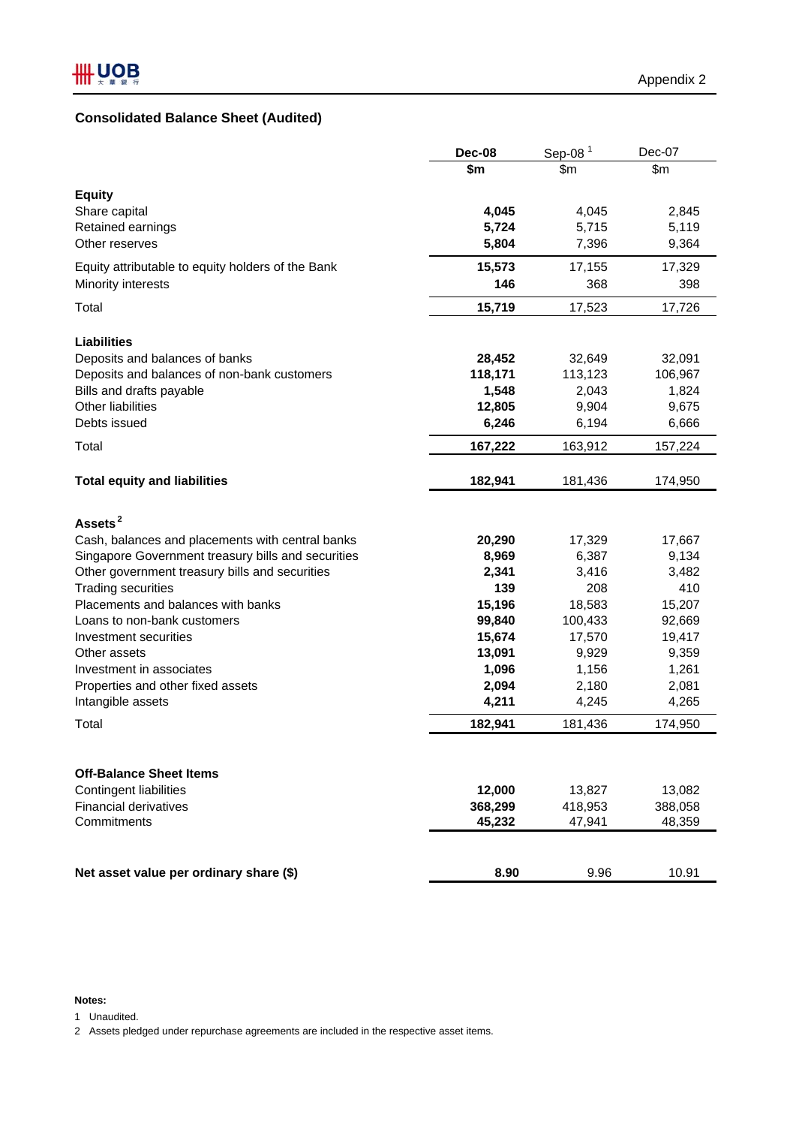# **Consolidated Balance Sheet (Audited)**

|                                                        | Dec-08            | Sep-08 $1$        | Dec-07            |
|--------------------------------------------------------|-------------------|-------------------|-------------------|
|                                                        | \$m               | \$m               | \$m\$             |
| <b>Equity</b>                                          |                   |                   |                   |
| Share capital                                          | 4,045             | 4,045             | 2,845             |
| Retained earnings                                      | 5,724             | 5,715             | 5,119             |
| Other reserves                                         | 5,804             | 7,396             | 9,364             |
| Equity attributable to equity holders of the Bank      | 15,573            | 17,155            | 17,329            |
| Minority interests                                     | 146               | 368               | 398               |
| Total                                                  | 15,719            | 17,523            | 17,726            |
| <b>Liabilities</b>                                     |                   |                   |                   |
| Deposits and balances of banks                         | 28,452            | 32,649            | 32,091            |
| Deposits and balances of non-bank customers            | 118,171           | 113,123           | 106,967           |
| Bills and drafts payable                               | 1,548             | 2,043             | 1,824             |
| Other liabilities                                      | 12,805            | 9,904             | 9,675             |
| Debts issued                                           | 6,246             | 6,194             | 6,666             |
| Total                                                  | 167,222           | 163,912           | 157,224           |
| <b>Total equity and liabilities</b>                    | 182,941           | 181,436           | 174,950           |
| Assets <sup>2</sup>                                    |                   |                   |                   |
| Cash, balances and placements with central banks       | 20,290            | 17,329            | 17,667            |
| Singapore Government treasury bills and securities     | 8,969             | 6,387             | 9,134             |
| Other government treasury bills and securities         | 2,341             | 3,416             | 3,482             |
| <b>Trading securities</b>                              | 139               | 208               | 410               |
| Placements and balances with banks                     | 15,196            | 18,583            | 15,207            |
| Loans to non-bank customers                            | 99,840            | 100,433           | 92,669            |
| Investment securities                                  | 15,674            | 17,570            | 19,417            |
| Other assets                                           | 13,091            | 9,929             | 9,359             |
| Investment in associates                               | 1,096             | 1,156             | 1,261             |
| Properties and other fixed assets                      | 2,094             | 2,180             | 2,081             |
| Intangible assets                                      | 4,211             | 4,245             | 4,265             |
| Total                                                  | 182,941           | 181,436           | 174,950           |
|                                                        |                   |                   |                   |
| <b>Off-Balance Sheet Items</b>                         |                   |                   |                   |
| Contingent liabilities<br><b>Financial derivatives</b> | 12,000            | 13,827            | 13,082            |
| Commitments                                            | 368,299<br>45,232 | 418,953<br>47,941 | 388,058<br>48,359 |
|                                                        |                   |                   |                   |
| Net asset value per ordinary share (\$)                | 8.90              | 9.96              | 10.91             |

#### **Notes:**

1 Unaudited.

2 Assets pledged under repurchase agreements are included in the respective asset items.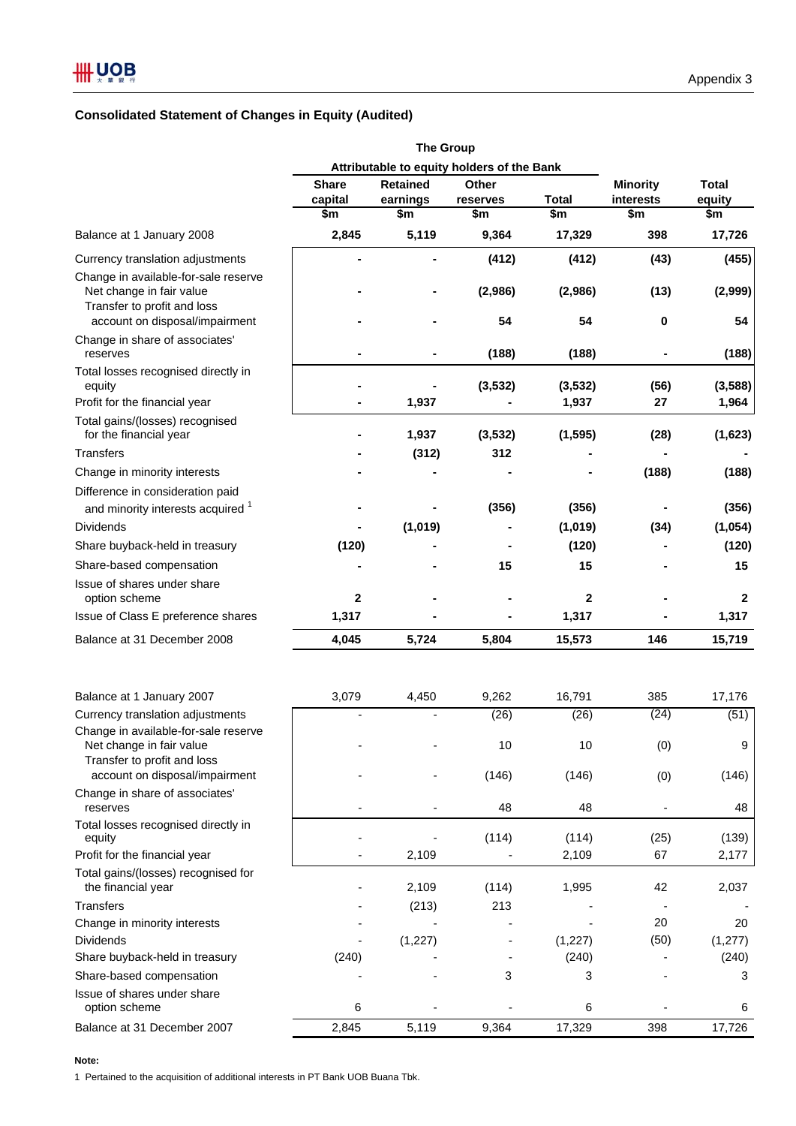# **Consolidated Statement of Changes in Equity (Audited)**

|                                                                  | Attributable to equity holders of the Bank |                                 |          |              |                 |                  |
|------------------------------------------------------------------|--------------------------------------------|---------------------------------|----------|--------------|-----------------|------------------|
|                                                                  | <b>Share</b>                               | <b>Retained</b><br><b>Other</b> |          |              | <b>Minority</b> | <b>Total</b>     |
|                                                                  | capital                                    | earnings                        | reserves | <b>Total</b> | interests       | equity           |
|                                                                  | \$m                                        | \$m                             | \$m      | \$m          | \$m             | \$m              |
| Balance at 1 January 2008                                        | 2,845                                      | 5,119                           | 9,364    | 17,329       | 398             | 17,726           |
| Currency translation adjustments                                 |                                            |                                 | (412)    | (412)        | (43)            | (455)            |
| Change in available-for-sale reserve<br>Net change in fair value |                                            |                                 | (2,986)  | (2,986)      | (13)            | (2,999)          |
| Transfer to profit and loss<br>account on disposal/impairment    |                                            |                                 | 54       | 54           | 0               | 54               |
| Change in share of associates'<br>reserves                       |                                            |                                 | (188)    | (188)        |                 | (188)            |
| Total losses recognised directly in<br>equity                    |                                            |                                 | (3, 532) | (3, 532)     | (56)            | (3,588)          |
| Profit for the financial year                                    |                                            | 1,937                           |          | 1,937        | 27              | 1,964            |
| Total gains/(losses) recognised<br>for the financial year        |                                            | 1,937                           | (3, 532) | (1, 595)     | (28)            | (1,623)          |
| <b>Transfers</b>                                                 |                                            | (312)                           | 312      |              |                 |                  |
| Change in minority interests                                     |                                            |                                 |          |              | (188)           | (188)            |
| Difference in consideration paid                                 |                                            |                                 |          |              |                 |                  |
| and minority interests acquired <sup>1</sup>                     |                                            |                                 | (356)    | (356)        |                 | (356)            |
| <b>Dividends</b>                                                 |                                            | (1,019)                         |          | (1,019)      | (34)            | (1,054)          |
| Share buyback-held in treasury                                   | (120)                                      |                                 |          | (120)        |                 | (120)            |
| Share-based compensation                                         |                                            |                                 | 15       | 15           |                 | 15               |
| Issue of shares under share                                      |                                            |                                 |          |              |                 |                  |
| option scheme                                                    | $\mathbf{2}$                               |                                 |          | $\mathbf 2$  |                 | $\mathbf{2}$     |
| Issue of Class E preference shares                               | 1,317                                      |                                 |          | 1,317        |                 | 1,317            |
| Balance at 31 December 2008                                      | 4,045                                      | 5,724                           | 5,804    | 15,573       | 146             | 15,719           |
| Balance at 1 January 2007                                        | 3,079                                      | 4,450                           | 9,262    | 16,791       | 385             | 17,176           |
| Currency translation adjustments                                 |                                            |                                 | (26)     | (26)         | (24)            | (51)             |
| Change in available-for-sale reserve                             |                                            |                                 |          |              |                 |                  |
| Net change in fair value<br>Transfer to profit and loss          |                                            |                                 | 10       | 10           | (0)             | $\boldsymbol{9}$ |
| account on disposal/impairment                                   |                                            |                                 | (146)    | (146)        | (0)             | (146)            |
| Change in share of associates'<br>reserves                       |                                            |                                 | 48       | 48           |                 | 48               |
| Total losses recognised directly in<br>equity                    |                                            |                                 | (114)    | (114)        | (25)            | (139)            |
| Profit for the financial year                                    |                                            | 2,109                           |          | 2,109        | 67              | 2,177            |
| Total gains/(losses) recognised for<br>the financial year        |                                            | 2,109                           | (114)    | 1,995        | 42              | 2,037            |
| <b>Transfers</b>                                                 |                                            | (213)                           | 213      |              |                 |                  |
| Change in minority interests                                     |                                            |                                 |          |              | 20              | 20               |
| <b>Dividends</b>                                                 |                                            | (1, 227)                        |          | (1,227)      | (50)            | (1, 277)         |
| Share buyback-held in treasury                                   | (240)                                      |                                 |          | (240)        |                 | (240)            |
| Share-based compensation                                         |                                            |                                 | 3        | 3            |                 | 3                |
| Issue of shares under share<br>option scheme                     | 6                                          |                                 |          | 6            |                 | 6                |
| Balance at 31 December 2007                                      | 2,845                                      | 5,119                           | 9,364    | 17,329       | 398             | 17,726           |

**Note:**

1 Pertained to the acquisition of additional interests in PT Bank UOB Buana Tbk.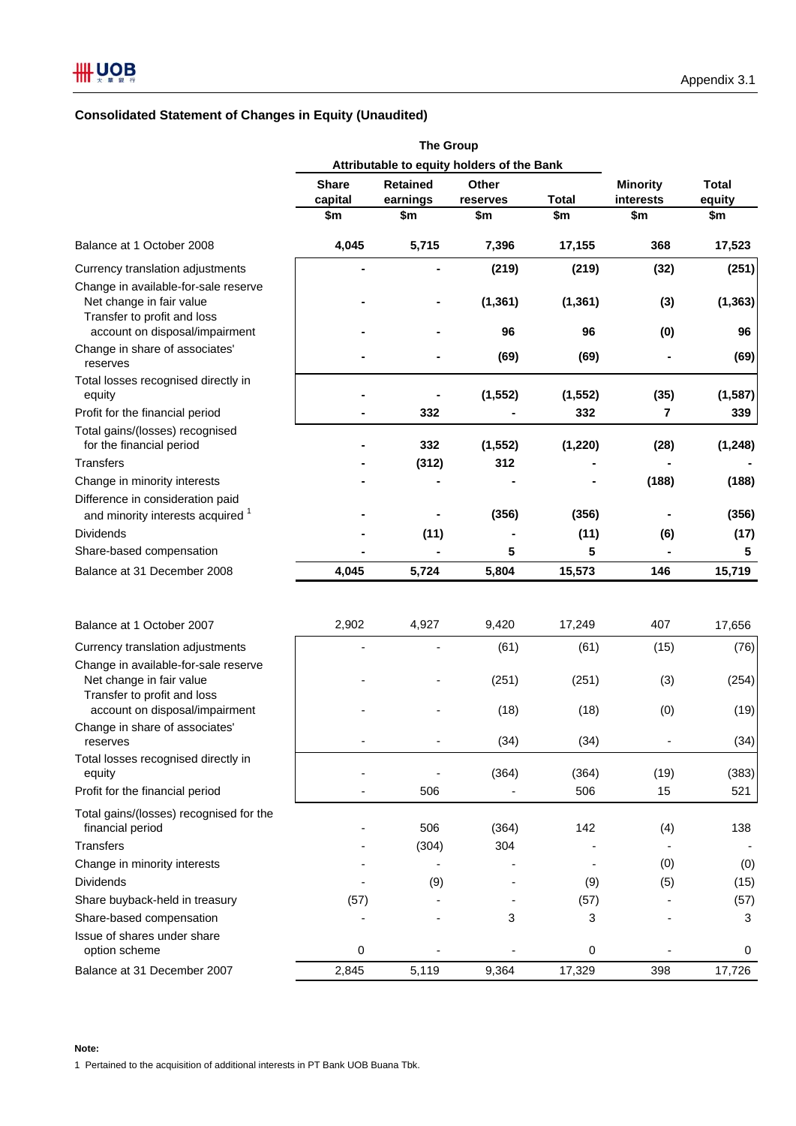# **Consolidated Statement of Changes in Equity (Unaudited)**

|                                                                       | Attributable to equity holders of the Bank |                 |              |              |                 |              |
|-----------------------------------------------------------------------|--------------------------------------------|-----------------|--------------|--------------|-----------------|--------------|
|                                                                       | <b>Share</b>                               | <b>Retained</b> | <b>Other</b> |              | <b>Minority</b> | <b>Total</b> |
|                                                                       | capital                                    | earnings        | reserves     | <b>Total</b> | interests       | equity       |
|                                                                       | \$m                                        | \$m             | \$m          | \$m          | \$m             | \$m          |
| Balance at 1 October 2008                                             | 4,045                                      | 5,715           | 7,396        | 17,155       | 368             | 17,523       |
| Currency translation adjustments                                      |                                            |                 | (219)        | (219)        | (32)            | (251)        |
| Change in available-for-sale reserve                                  |                                            |                 |              |              |                 |              |
| Net change in fair value                                              |                                            |                 | (1, 361)     | (1, 361)     | (3)             | (1, 363)     |
| Transfer to profit and loss<br>account on disposal/impairment         |                                            |                 | 96           | 96           |                 | 96           |
| Change in share of associates'                                        |                                            |                 |              |              | (0)             |              |
| reserves                                                              |                                            |                 | (69)         | (69)         |                 | (69)         |
| Total losses recognised directly in                                   |                                            |                 |              |              |                 |              |
| equity                                                                |                                            |                 | (1, 552)     | (1, 552)     | (35)            | (1, 587)     |
| Profit for the financial period                                       |                                            | 332             |              | 332          | 7               | 339          |
| Total gains/(losses) recognised                                       |                                            | 332             |              |              |                 |              |
| for the financial period                                              |                                            |                 | (1, 552)     | (1, 220)     | (28)            | (1, 248)     |
| <b>Transfers</b>                                                      |                                            | (312)           | 312          |              |                 |              |
| Change in minority interests                                          |                                            |                 |              |              | (188)           | (188)        |
| Difference in consideration paid<br>and minority interests acquired 1 |                                            |                 | (356)        | (356)        | $\blacksquare$  | (356)        |
| <b>Dividends</b>                                                      |                                            | (11)            |              | (11)         |                 |              |
|                                                                       |                                            |                 | 5            | 5            | (6)             | (17)         |
| Share-based compensation                                              |                                            |                 |              |              |                 | 5            |
| Balance at 31 December 2008                                           | 4,045                                      | 5,724           | 5,804        | 15,573       | 146             | 15,719       |
| Balance at 1 October 2007                                             | 2,902                                      | 4,927           | 9,420        | 17,249       | 407             | 17,656       |
| Currency translation adjustments                                      |                                            |                 | (61)         | (61)         | (15)            | (76)         |
| Change in available-for-sale reserve                                  |                                            |                 |              |              |                 |              |
| Net change in fair value                                              |                                            |                 | (251)        | (251)        | (3)             | (254)        |
| Transfer to profit and loss                                           |                                            |                 |              |              |                 |              |
| account on disposal/impairment                                        |                                            |                 | (18)         | (18)         | (0)             | (19)         |
| Change in share of associates'                                        |                                            |                 |              |              |                 |              |
| reserves                                                              |                                            |                 | (34)         | (34)         |                 | (34)         |
| Total losses recognised directly in<br>equity                         |                                            |                 | (364)        | (364)        | (19)            | (383)        |
| Profit for the financial period                                       |                                            | 506             |              | 506          | 15              | 521          |
|                                                                       |                                            |                 |              |              |                 |              |
| Total gains/(losses) recognised for the<br>financial period           |                                            | 506             | (364)        | 142          | (4)             | 138          |
| Transfers                                                             |                                            | (304)           | 304          |              |                 |              |
| Change in minority interests                                          |                                            |                 |              |              | (0)             | (0)          |
| <b>Dividends</b>                                                      |                                            |                 |              |              |                 |              |
|                                                                       |                                            | (9)             |              | (9)          | (5)             | (15)         |
| Share buyback-held in treasury                                        | (57)                                       |                 |              | (57)         |                 | (57)         |
| Share-based compensation                                              |                                            |                 | 3            | 3            |                 | 3            |
| Issue of shares under share<br>option scheme                          | 0                                          |                 |              | $\pmb{0}$    |                 | 0            |
| Balance at 31 December 2007                                           | 2,845                                      | 5,119           | 9,364        | 17,329       | 398             | 17,726       |
|                                                                       |                                            |                 |              |              |                 |              |

1 Pertained to the acquisition of additional interests in PT Bank UOB Buana Tbk.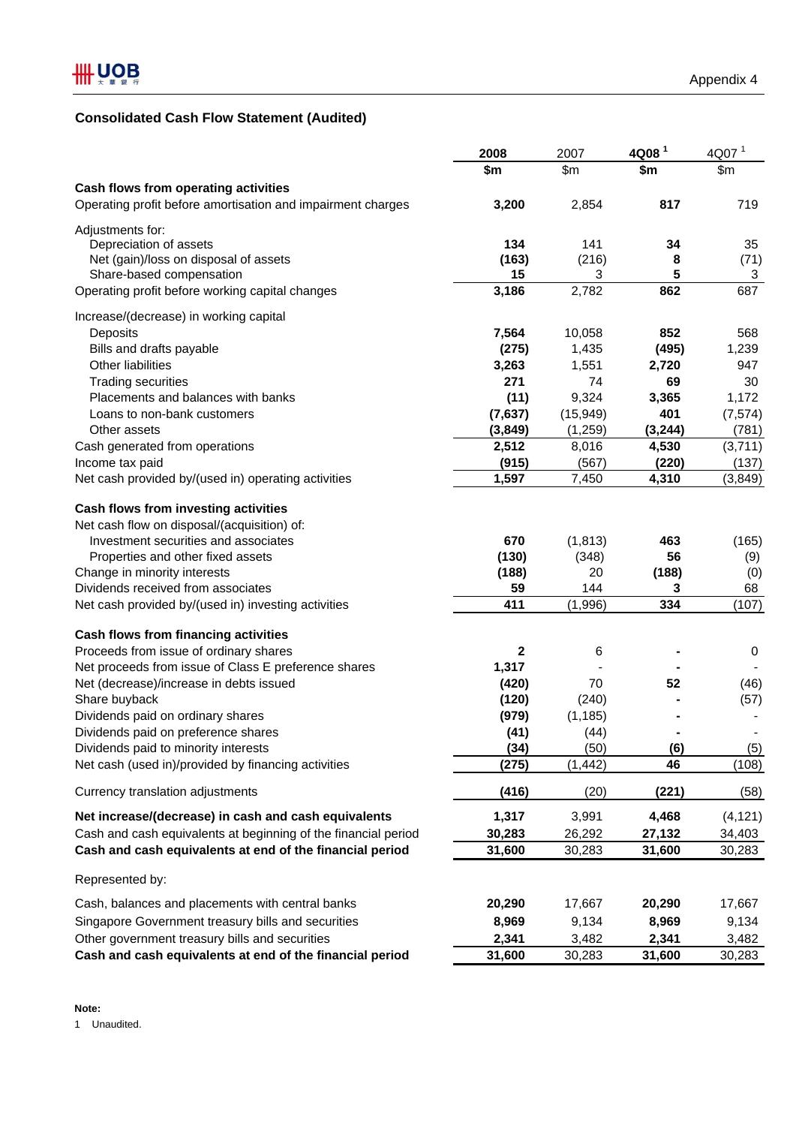# **Consolidated Cash Flow Statement (Audited)**

|                                                                                             | 2008          | 2007             | 4Q08 <sup>1</sup> | 4Q07 <sup>1</sup> |
|---------------------------------------------------------------------------------------------|---------------|------------------|-------------------|-------------------|
|                                                                                             | \$m           | \$m\$            | \$m\$             | \$m\$             |
| Cash flows from operating activities                                                        |               |                  |                   |                   |
| Operating profit before amortisation and impairment charges                                 | 3,200         | 2,854            | 817               | 719               |
| Adjustments for:                                                                            |               |                  |                   |                   |
| Depreciation of assets                                                                      | 134           | 141              | 34                | 35                |
| Net (gain)/loss on disposal of assets                                                       | (163)         | (216)            | 8                 | (71)              |
| Share-based compensation                                                                    | 15            | 3                | 5                 | 3                 |
| Operating profit before working capital changes                                             | 3,186         | 2,782            | 862               | 687               |
| Increase/(decrease) in working capital                                                      |               |                  |                   |                   |
| Deposits                                                                                    | 7,564         | 10,058           | 852               | 568               |
| Bills and drafts payable                                                                    | (275)         | 1,435            | (495)             | 1,239             |
| Other liabilities                                                                           | 3,263         | 1,551            | 2,720             | 947               |
| <b>Trading securities</b>                                                                   | 271           | 74               | 69                | 30                |
| Placements and balances with banks                                                          | (11)          | 9,324            | 3,365             | 1,172             |
| Loans to non-bank customers                                                                 | (7,637)       | (15, 949)        | 401               | (7, 574)          |
|                                                                                             |               |                  |                   |                   |
| Other assets                                                                                | (3, 849)      | (1,259)          | (3, 244)          | (781)             |
| Cash generated from operations                                                              | 2,512         | 8,016            | 4,530             | (3,711)           |
| Income tax paid                                                                             | (915)         | (567)            | (220)             | (137)             |
| Net cash provided by/(used in) operating activities                                         | 1,597         | 7,450            | 4,310             | (3, 849)          |
| Cash flows from investing activities                                                        |               |                  |                   |                   |
| Net cash flow on disposal/(acquisition) of:                                                 |               |                  |                   |                   |
| Investment securities and associates                                                        | 670           | (1, 813)         | 463               | (165)             |
| Properties and other fixed assets                                                           | (130)         | (348)            | 56                | (9)               |
| Change in minority interests                                                                | (188)         | 20               | (188)             | (0)               |
| Dividends received from associates                                                          | 59            | 144              | 3                 | 68                |
| Net cash provided by/(used in) investing activities                                         | 411           | (1,996)          | 334               | (107)             |
| Cash flows from financing activities                                                        |               |                  |                   |                   |
| Proceeds from issue of ordinary shares                                                      | 2             | 6                |                   | $\pmb{0}$         |
| Net proceeds from issue of Class E preference shares                                        | 1,317         |                  |                   |                   |
| Net (decrease)/increase in debts issued                                                     | (420)         | 70               | 52                | (46)              |
| Share buyback                                                                               | (120)         | (240)            |                   | (57)              |
|                                                                                             |               |                  |                   |                   |
| Dividends paid on ordinary shares                                                           | (979)         | (1, 185)         |                   |                   |
| Dividends paid on preference shares                                                         | (41)          | (44)             |                   |                   |
| Dividends paid to minority interests<br>Net cash (used in)/provided by financing activities | (34)<br>(275) | (50)<br>(1, 442) | (6)<br>46         | (5)<br>(108)      |
|                                                                                             |               |                  |                   |                   |
| Currency translation adjustments                                                            | (416)         | (20)             | (221)             | (58)              |
| Net increase/(decrease) in cash and cash equivalents                                        | 1,317         | 3,991            | 4,468             | (4, 121)          |
| Cash and cash equivalents at beginning of the financial period                              | 30,283        | 26,292           | 27,132            | 34,403            |
| Cash and cash equivalents at end of the financial period                                    | 31,600        | 30,283           | 31,600            | 30,283            |
| Represented by:                                                                             |               |                  |                   |                   |
| Cash, balances and placements with central banks                                            | 20,290        | 17,667           | 20,290            | 17,667            |
| Singapore Government treasury bills and securities                                          | 8,969         | 9,134            | 8,969             | 9,134             |
| Other government treasury bills and securities                                              | 2,341         | 3,482            | 2,341             | 3,482             |
| Cash and cash equivalents at end of the financial period                                    | 31,600        | 30,283           | 31,600            | 30,283            |
|                                                                                             |               |                  |                   |                   |

1 Unaudited.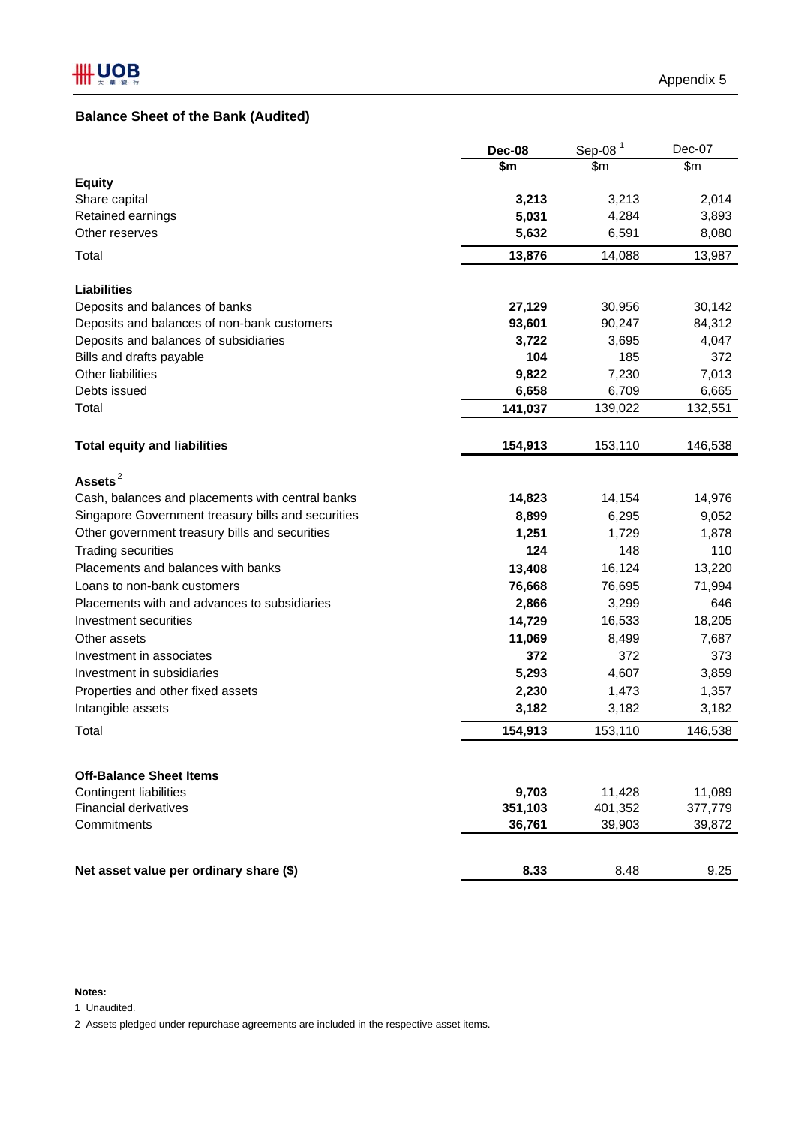# **Balance Sheet of the Bank (Audited)**

|                                                               | <b>Dec-08</b> | Sep-08 $1$        | Dec-07            |
|---------------------------------------------------------------|---------------|-------------------|-------------------|
|                                                               | \$m           | \$m               | \$m\$             |
| <b>Equity</b>                                                 |               |                   |                   |
| Share capital                                                 | 3,213         | 3,213             | 2,014             |
| Retained earnings                                             | 5,031         | 4,284             | 3,893             |
| Other reserves                                                | 5,632         | 6,591             | 8,080             |
| Total                                                         | 13,876        | 14,088            | 13,987            |
| <b>Liabilities</b>                                            |               |                   |                   |
| Deposits and balances of banks                                | 27,129        | 30,956            | 30,142            |
| Deposits and balances of non-bank customers                   | 93,601        | 90,247            | 84,312            |
| Deposits and balances of subsidiaries                         | 3,722         | 3,695             | 4,047             |
| Bills and drafts payable                                      | 104           | 185               | 372               |
| Other liabilities                                             | 9,822         | 7,230             | 7,013             |
| Debts issued                                                  | 6,658         | 6,709             | 6,665             |
| Total                                                         | 141,037       | 139,022           | 132,551           |
| <b>Total equity and liabilities</b>                           | 154,913       | 153,110           | 146,538           |
| Assets $^2$                                                   |               |                   |                   |
| Cash, balances and placements with central banks              | 14,823        | 14,154            | 14,976            |
| Singapore Government treasury bills and securities            | 8,899         | 6,295             | 9,052             |
| Other government treasury bills and securities                | 1,251         | 1,729             | 1,878             |
| <b>Trading securities</b>                                     | 124           | 148               | 110               |
| Placements and balances with banks                            | 13,408        | 16,124            | 13,220            |
| Loans to non-bank customers                                   | 76,668        | 76,695            | 71,994            |
| Placements with and advances to subsidiaries                  | 2,866         | 3,299             | 646               |
| Investment securities                                         | 14,729        | 16,533            | 18,205            |
| Other assets                                                  | 11,069        | 8,499             | 7,687             |
| Investment in associates                                      | 372           | 372               | 373               |
| Investment in subsidiaries                                    | 5,293         | 4,607             | 3,859             |
| Properties and other fixed assets                             | 2,230         | 1,473             | 1,357             |
| Intangible assets                                             | 3,182         | 3,182             | 3,182             |
| Total                                                         | 154,913       | 153,110           | 146,538           |
|                                                               |               |                   |                   |
| <b>Off-Balance Sheet Items</b>                                | 9,703         |                   |                   |
| <b>Contingent liabilities</b><br><b>Financial derivatives</b> | 351,103       | 11,428<br>401,352 | 11,089<br>377,779 |
| Commitments                                                   | 36,761        | 39,903            | 39,872            |
|                                                               |               |                   |                   |
| Net asset value per ordinary share (\$)                       | 8.33          | 8.48              | 9.25              |

# **Notes:**

1 Unaudited.

2 Assets pledged under repurchase agreements are included in the respective asset items.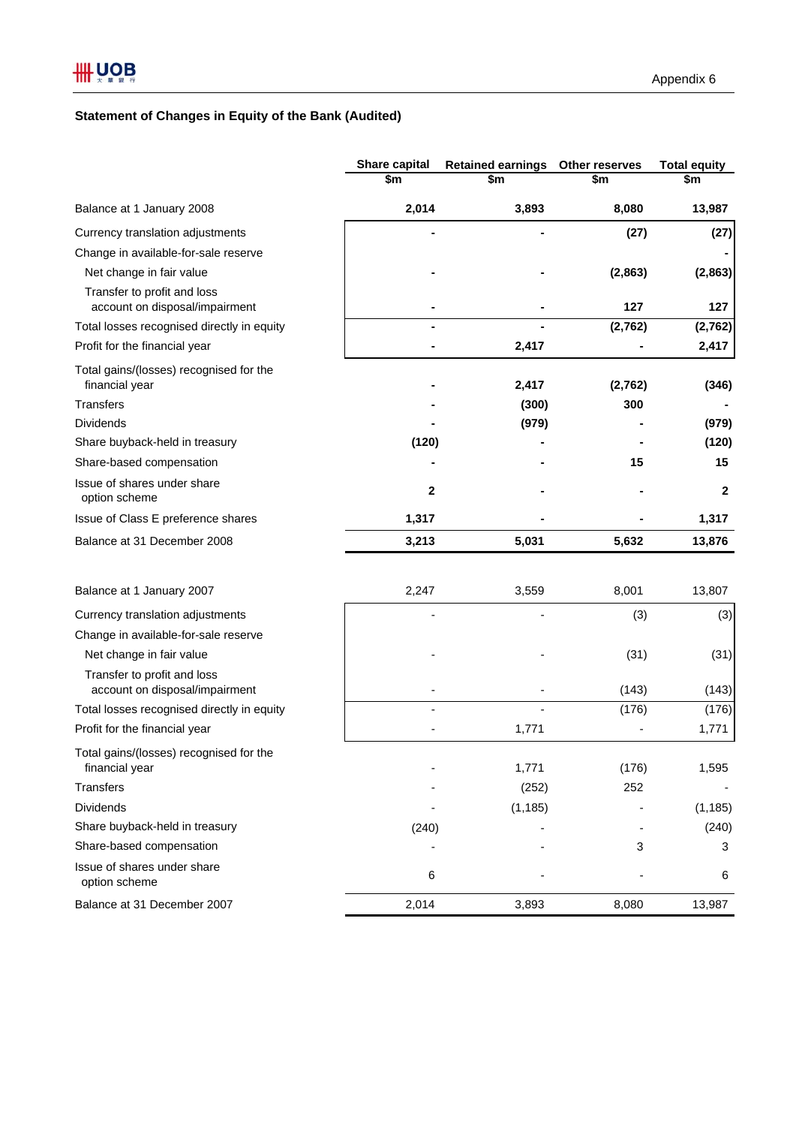# **Statement of Changes in Equity of the Bank (Audited)**

|                                                               | Share capital<br>\$m     | <b>Retained earnings</b><br>\$m | Other reserves<br>\$m | <b>Total equity</b><br>\$m |
|---------------------------------------------------------------|--------------------------|---------------------------------|-----------------------|----------------------------|
| Balance at 1 January 2008                                     | 2,014                    | 3,893                           | 8,080                 | 13,987                     |
| Currency translation adjustments                              |                          |                                 | (27)                  | (27)                       |
| Change in available-for-sale reserve                          |                          |                                 |                       |                            |
| Net change in fair value                                      |                          |                                 | (2,863)               | (2,863)                    |
| Transfer to profit and loss<br>account on disposal/impairment |                          |                                 | 127                   | 127                        |
| Total losses recognised directly in equity                    |                          |                                 | (2,762)               | (2,762)                    |
| Profit for the financial year                                 |                          | 2,417                           |                       | 2,417                      |
| Total gains/(losses) recognised for the<br>financial year     |                          | 2,417                           | (2,762)               | (346)                      |
| Transfers                                                     |                          | (300)                           | 300                   |                            |
| <b>Dividends</b>                                              |                          | (979)                           |                       | (979)                      |
| Share buyback-held in treasury                                | (120)                    |                                 |                       | (120)                      |
| Share-based compensation                                      |                          |                                 | 15                    | 15                         |
| Issue of shares under share<br>option scheme                  | 2                        |                                 |                       | $\mathbf{2}$               |
| Issue of Class E preference shares                            | 1,317                    |                                 |                       | 1,317                      |
| Balance at 31 December 2008                                   | 3,213                    | 5,031                           | 5,632                 | 13,876                     |
| Balance at 1 January 2007                                     | 2,247                    | 3,559                           | 8,001                 | 13,807                     |
| Currency translation adjustments                              |                          |                                 | (3)                   | (3)                        |
| Change in available-for-sale reserve                          |                          |                                 |                       |                            |
| Net change in fair value                                      |                          |                                 | (31)                  | (31)                       |
| Transfer to profit and loss<br>account on disposal/impairment | $\overline{\phantom{a}}$ |                                 | (143)                 | (143)                      |
| Total losses recognised directly in equity                    |                          |                                 | (176)                 | (176)                      |
| Profit for the financial year                                 |                          | 1,771                           |                       | 1,771                      |
| Total gains/(losses) recognised for the                       |                          |                                 |                       |                            |
| financial year                                                |                          | 1,771                           | (176)                 | 1,595                      |
| <b>Transfers</b>                                              |                          | (252)                           | 252                   |                            |
| <b>Dividends</b>                                              |                          | (1, 185)                        |                       | (1, 185)                   |
| Share buyback-held in treasury                                | (240)                    |                                 |                       | (240)                      |
| Share-based compensation                                      |                          |                                 | 3                     | 3                          |
| Issue of shares under share<br>option scheme                  | 6                        |                                 |                       | 6                          |
| Balance at 31 December 2007                                   | 2,014                    | 3,893                           | 8,080                 | 13,987                     |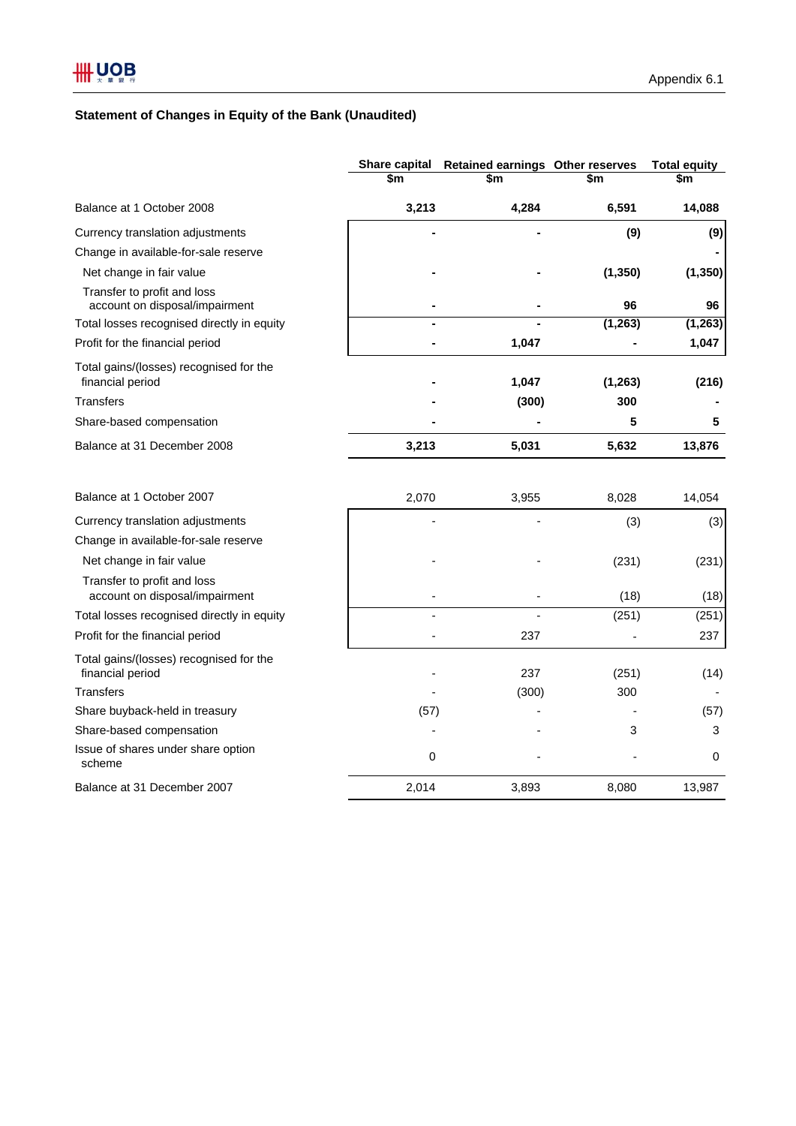# **Statement of Changes in Equity of the Bank (Unaudited)**

|                                                               | <b>Share capital</b> | Retained earnings Other reserves |          | <b>Total equity</b> |  |
|---------------------------------------------------------------|----------------------|----------------------------------|----------|---------------------|--|
|                                                               | \$m                  | \$m                              | \$m      | \$m                 |  |
| Balance at 1 October 2008                                     | 3,213                | 4,284                            | 6,591    | 14,088              |  |
| Currency translation adjustments                              |                      |                                  | (9)      | (9)                 |  |
| Change in available-for-sale reserve                          |                      |                                  |          |                     |  |
| Net change in fair value                                      |                      |                                  | (1, 350) | (1, 350)            |  |
| Transfer to profit and loss<br>account on disposal/impairment |                      |                                  | 96       | 96                  |  |
| Total losses recognised directly in equity                    |                      |                                  | (1, 263) | (1, 263)            |  |
| Profit for the financial period                               |                      | 1,047                            |          | 1,047               |  |
| Total gains/(losses) recognised for the<br>financial period   |                      | 1,047                            | (1, 263) | (216)               |  |
| <b>Transfers</b>                                              |                      | (300)                            | 300      |                     |  |
| Share-based compensation                                      |                      |                                  | 5        | 5                   |  |
| Balance at 31 December 2008                                   | 3,213                | 5,031                            | 5,632    | 13,876              |  |
| Balance at 1 October 2007                                     | 2,070                | 3,955                            | 8,028    | 14,054              |  |
|                                                               |                      |                                  |          |                     |  |
| Currency translation adjustments                              |                      |                                  | (3)      | (3)                 |  |
| Change in available-for-sale reserve                          |                      |                                  |          |                     |  |
| Net change in fair value                                      |                      |                                  | (231)    | (231)               |  |
| Transfer to profit and loss<br>account on disposal/impairment |                      |                                  | (18)     | (18)                |  |
| Total losses recognised directly in equity                    |                      |                                  | (251)    | (251)               |  |
| Profit for the financial period                               |                      | 237                              |          | 237                 |  |
| Total gains/(losses) recognised for the<br>financial period   |                      | 237                              | (251)    | (14)                |  |
| <b>Transfers</b>                                              |                      | (300)                            | 300      |                     |  |
| Share buyback-held in treasury                                | (57)                 |                                  |          | (57)                |  |
| Share-based compensation                                      |                      |                                  | 3        | 3                   |  |
| Issue of shares under share option<br>scheme                  | 0                    |                                  |          | 0                   |  |
| Balance at 31 December 2007                                   | 2,014                | 3,893                            | 8,080    | 13,987              |  |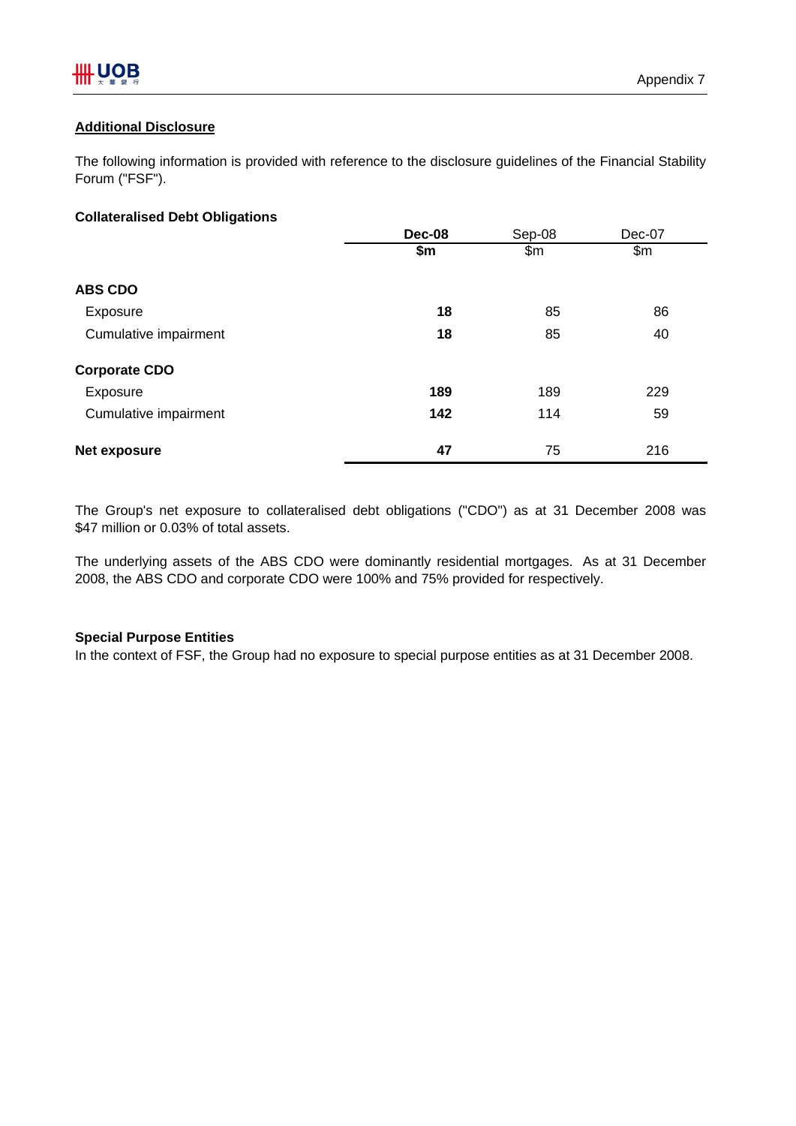# **Additional Disclosure**

The following information is provided with reference to the disclosure guidelines of the Financial Stability Forum ("FSF").

# **Collateralised Debt Obligations**

|                       | Dec-08<br>Sep-08 |       | Dec-07 |  |  |
|-----------------------|------------------|-------|--------|--|--|
|                       | \$m              | \$m\$ | \$m\$  |  |  |
| <b>ABS CDO</b>        |                  |       |        |  |  |
| Exposure              | 18               | 85    | 86     |  |  |
| Cumulative impairment | 18               | 85    | 40     |  |  |
| <b>Corporate CDO</b>  |                  |       |        |  |  |
| Exposure              | 189              | 189   | 229    |  |  |
| Cumulative impairment | 142              | 114   | 59     |  |  |
| <b>Net exposure</b>   | 47               | 75    | 216    |  |  |

The Group's net exposure to collateralised debt obligations ("CDO") as at 31 December 2008 was \$47 million or 0.03% of total assets.

The underlying assets of the ABS CDO were dominantly residential mortgages. As at 31 December 2008, the ABS CDO and corporate CDO were 100% and 75% provided for respectively.

# **Special Purpose Entities**

In the context of FSF, the Group had no exposure to special purpose entities as at 31 December 2008.